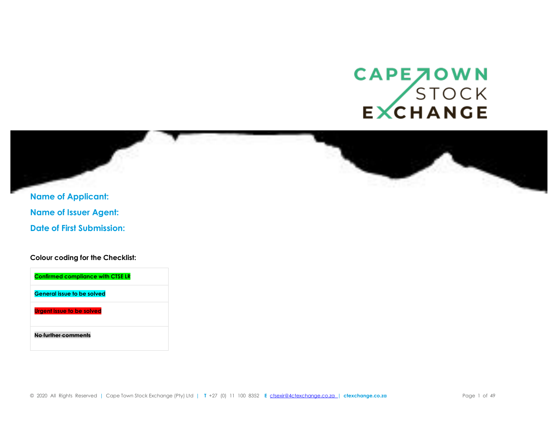## CAPE JOWN<br>STOCK<br>EXCHANGE



**Name of Applicant: Name of Issuer Agent: Date of First Submission:**

**Colour coding for the Checklist:**

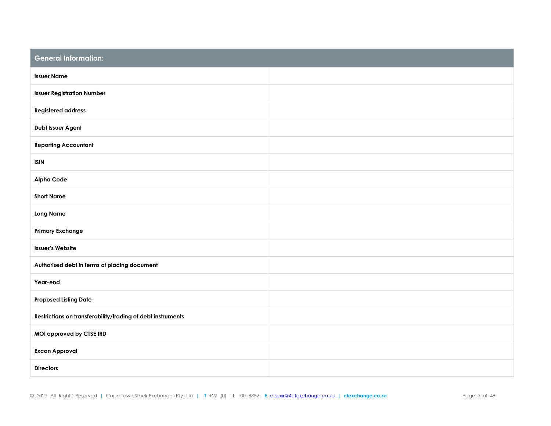| <b>General Information:</b>                                 |  |
|-------------------------------------------------------------|--|
| <b>Issuer Name</b>                                          |  |
| <b>Issuer Registration Number</b>                           |  |
| <b>Registered address</b>                                   |  |
| Debt Issuer Agent                                           |  |
| <b>Reporting Accountant</b>                                 |  |
| <b>ISIN</b>                                                 |  |
| <b>Alpha Code</b>                                           |  |
| <b>Short Name</b>                                           |  |
| <b>Long Name</b>                                            |  |
| <b>Primary Exchange</b>                                     |  |
| <b>Issuer's Website</b>                                     |  |
| Authorised debt in terms of placing document                |  |
| Year-end                                                    |  |
| <b>Proposed Listing Date</b>                                |  |
| Restrictions on transferability/trading of debt instruments |  |
| MOI approved by CTSE IRD                                    |  |
| <b>Excon Approval</b>                                       |  |
| <b>Directors</b>                                            |  |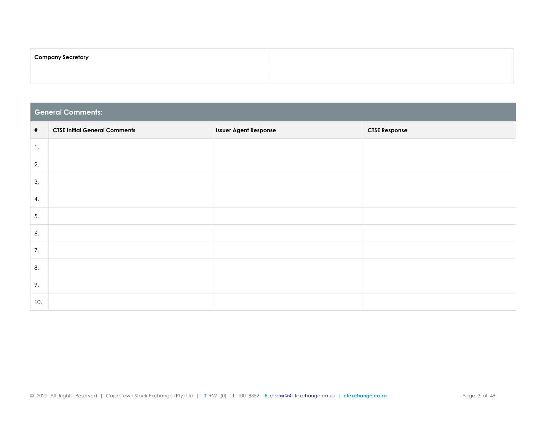| <b>Company Secretary</b> |  |
|--------------------------|--|
|                          |  |

|      | <b>General Comments:</b>             |                              |                      |  |  |  |  |  |
|------|--------------------------------------|------------------------------|----------------------|--|--|--|--|--|
| $\#$ | <b>CTSE Initial General Comments</b> | <b>Issuer Agent Response</b> | <b>CTSE Response</b> |  |  |  |  |  |
| 1.   |                                      |                              |                      |  |  |  |  |  |
| 2.   |                                      |                              |                      |  |  |  |  |  |
| 3.   |                                      |                              |                      |  |  |  |  |  |
| 4.   |                                      |                              |                      |  |  |  |  |  |
| 5.   |                                      |                              |                      |  |  |  |  |  |
| 6.   |                                      |                              |                      |  |  |  |  |  |
| 7.   |                                      |                              |                      |  |  |  |  |  |
| 8.   |                                      |                              |                      |  |  |  |  |  |
| 9.   |                                      |                              |                      |  |  |  |  |  |
| 10.  |                                      |                              |                      |  |  |  |  |  |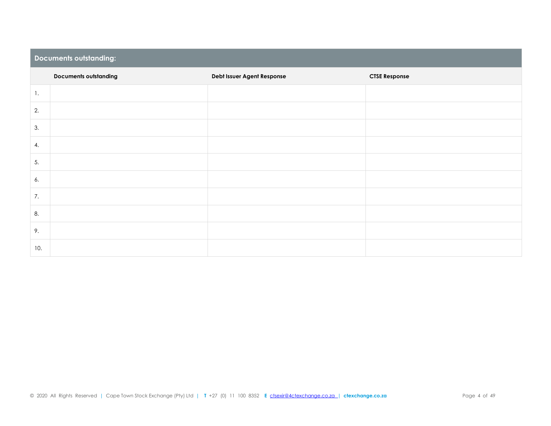|     | <b>Documents outstanding:</b> |                            |                      |  |  |  |  |  |
|-----|-------------------------------|----------------------------|----------------------|--|--|--|--|--|
|     | <b>Documents outstanding</b>  | Debt Issuer Agent Response | <b>CTSE Response</b> |  |  |  |  |  |
| 1.  |                               |                            |                      |  |  |  |  |  |
| 2.  |                               |                            |                      |  |  |  |  |  |
| 3.  |                               |                            |                      |  |  |  |  |  |
| 4.  |                               |                            |                      |  |  |  |  |  |
| 5.  |                               |                            |                      |  |  |  |  |  |
| 6.  |                               |                            |                      |  |  |  |  |  |
| 7.  |                               |                            |                      |  |  |  |  |  |
| 8.  |                               |                            |                      |  |  |  |  |  |
| 9.  |                               |                            |                      |  |  |  |  |  |
| 10. |                               |                            |                      |  |  |  |  |  |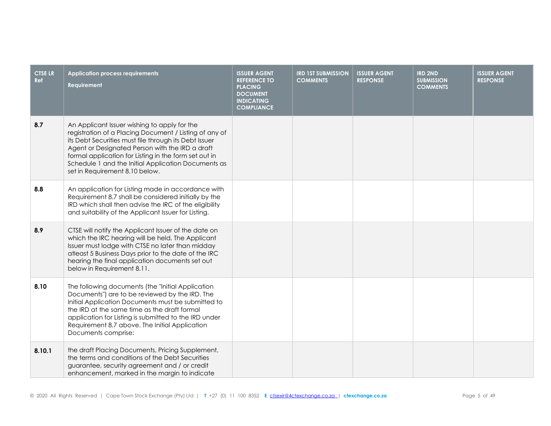| <b>CTSE LR</b><br><b>Ref</b> | <b>Application process requirements</b><br>Requirement                                                                                                                                                                                                                                                                                                               | <b>ISSUER AGENT</b><br><b>REFERENCE TO</b><br><b>PLACING</b><br><b>DOCUMENT</b><br><b>INDICATING</b><br><b>COMPLIANCE</b> | <b>IRD 1ST SUBMISSION</b><br><b>COMMENTS</b> | <b>ISSUER AGENT</b><br><b>RESPONSE</b> | <b>IRD 2ND</b><br><b>SUBMISSION</b><br><b>COMMENTS</b> | <b>ISSUER AGENT</b><br><b>RESPONSE</b> |
|------------------------------|----------------------------------------------------------------------------------------------------------------------------------------------------------------------------------------------------------------------------------------------------------------------------------------------------------------------------------------------------------------------|---------------------------------------------------------------------------------------------------------------------------|----------------------------------------------|----------------------------------------|--------------------------------------------------------|----------------------------------------|
| 8.7                          | An Applicant Issuer wishing to apply for the<br>registration of a Placing Document / Listing of any of<br>its Debt Securities must file through its Debt Issuer<br>Agent or Designated Person with the IRD a draft<br>formal application for Listing in the form set out in<br>Schedule 1 and the Initial Application Documents as<br>set in Requirement 8.10 below. |                                                                                                                           |                                              |                                        |                                                        |                                        |
| 8.8                          | An application for Listing made in accordance with<br>Requirement 8.7 shall be considered initially by the<br>IRD which shall then advise the IRC of the eligibility<br>and suitability of the Applicant Issuer for Listing.                                                                                                                                         |                                                                                                                           |                                              |                                        |                                                        |                                        |
| 8.9                          | CTSE will notify the Applicant Issuer of the date on<br>which the IRC hearing will be held. The Applicant<br>Issuer must lodge with CTSE no later than midday<br>atleast 5 Business Days prior to the date of the IRC<br>hearing the final application documents set out<br>below in Requirement 8.11.                                                               |                                                                                                                           |                                              |                                        |                                                        |                                        |
| 8.10                         | The following documents (the "Initial Application<br>Documents") are to be reviewed by the IRD. The<br>Initial Application Documents must be submitted to<br>the IRD at the same time as the draft formal<br>application for Listing is submitted to the IRD under<br>Requirement 8.7 above. The Initial Application<br>Documents comprise:                          |                                                                                                                           |                                              |                                        |                                                        |                                        |
| 8.10.1                       | the draft Placing Documents, Pricing Supplement,<br>the terms and conditions of the Debt Securities<br>guarantee, security agreement and / or credit<br>enhancement, marked in the margin to indicate                                                                                                                                                                |                                                                                                                           |                                              |                                        |                                                        |                                        |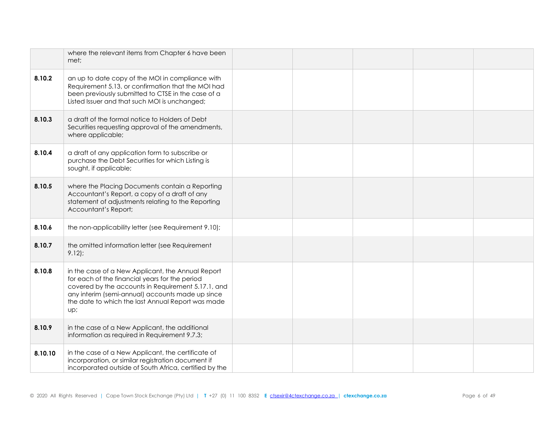|         | where the relevant items from Chapter 6 have been<br>met;                                                                                                                                                                                                                 |  |  |  |
|---------|---------------------------------------------------------------------------------------------------------------------------------------------------------------------------------------------------------------------------------------------------------------------------|--|--|--|
| 8.10.2  | an up to date copy of the MOI in compliance with<br>Requirement 5.13, or confirmation that the MOI had<br>been previously submitted to CTSE in the case of a<br>Listed Issuer and that such MOI is unchanged;                                                             |  |  |  |
| 8.10.3  | a draft of the formal notice to Holders of Debt<br>Securities requesting approval of the amendments,<br>where applicable;                                                                                                                                                 |  |  |  |
| 8.10.4  | a draft of any application form to subscribe or<br>purchase the Debt Securities for which Listing is<br>sought, if applicable;                                                                                                                                            |  |  |  |
| 8.10.5  | where the Placing Documents contain a Reporting<br>Accountant's Report, a copy of a draft of any<br>statement of adjustments relating to the Reporting<br>Accountant's Report;                                                                                            |  |  |  |
| 8.10.6  | the non-applicability letter (see Requirement 9.10);                                                                                                                                                                                                                      |  |  |  |
| 8.10.7  | the omitted information letter (see Requirement<br>$9.12$ :                                                                                                                                                                                                               |  |  |  |
| 8.10.8  | in the case of a New Applicant, the Annual Report<br>for each of the financial years for the period<br>covered by the accounts in Requirement 5.17.1, and<br>any interim (semi-annual) accounts made up since<br>the date to which the last Annual Report was made<br>up; |  |  |  |
| 8.10.9  | in the case of a New Applicant, the additional<br>information as required in Requirement 9.7.3;                                                                                                                                                                           |  |  |  |
| 8.10.10 | in the case of a New Applicant, the certificate of<br>incorporation, or similar registration document if<br>incorporated outside of South Africa, certified by the                                                                                                        |  |  |  |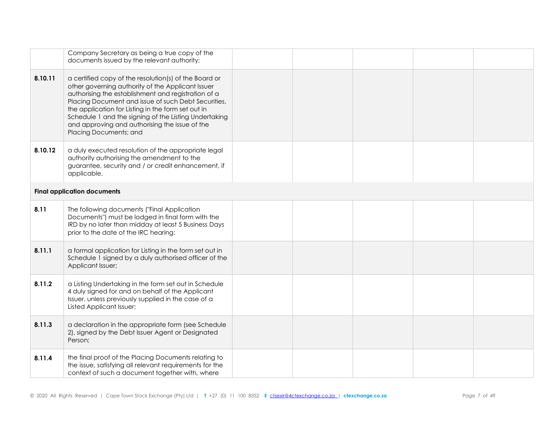|         | Company Secretary as being a true copy of the<br>documents issued by the relevant authority;                                                                                                                                                                                                                                                                                                                        |  |  |  |
|---------|---------------------------------------------------------------------------------------------------------------------------------------------------------------------------------------------------------------------------------------------------------------------------------------------------------------------------------------------------------------------------------------------------------------------|--|--|--|
| 8.10.11 | a certified copy of the resolution(s) of the Board or<br>other governing authority of the Applicant Issuer<br>authorising the establishment and registration of a<br>Placing Document and issue of such Debt Securities,<br>the application for Listing in the form set out in<br>Schedule 1 and the signing of the Listing Undertaking<br>and approving and authorising the issue of the<br>Placing Documents; and |  |  |  |
| 8.10.12 | a duly executed resolution of the appropriate legal<br>authority authorising the amendment to the<br>guarantee, security and / or credit enhancement, if<br>applicable.                                                                                                                                                                                                                                             |  |  |  |
|         | <b>Final application documents</b>                                                                                                                                                                                                                                                                                                                                                                                  |  |  |  |
| 8.11    | The following documents ("Final Application<br>Documents") must be lodged in final form with the<br>IRD by no later than midday at least 5 Business Days<br>prior to the date of the IRC hearing:                                                                                                                                                                                                                   |  |  |  |
| 8.11.1  | a formal application for Listing in the form set out in<br>Schedule 1 signed by a duly authorised officer of the<br>Applicant Issuer;                                                                                                                                                                                                                                                                               |  |  |  |
| 8.11.2  | a Listing Undertaking in the form set out in Schedule<br>4 duly signed for and on behalf of the Applicant<br>Issuer, unless previously supplied in the case of a<br>Listed Applicant Issuer;                                                                                                                                                                                                                        |  |  |  |
| 8.11.3  | a declaration in the appropriate form (see Schedule<br>2), signed by the Debt Issuer Agent or Designated<br>Person;                                                                                                                                                                                                                                                                                                 |  |  |  |
| 8.11.4  | the final proof of the Placing Documents relating to<br>the issue, satisfying all relevant requirements for the<br>context of such a document together with, where                                                                                                                                                                                                                                                  |  |  |  |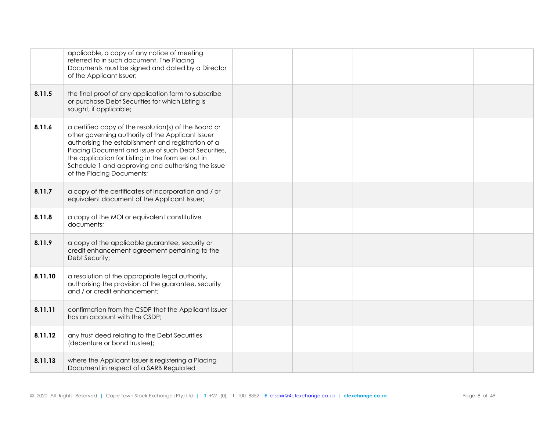|         | applicable, a copy of any notice of meeting<br>referred to in such document. The Placing<br>Documents must be signed and dated by a Director<br>of the Applicant Issuer;                                                                                                                                                                                          |  |  |  |
|---------|-------------------------------------------------------------------------------------------------------------------------------------------------------------------------------------------------------------------------------------------------------------------------------------------------------------------------------------------------------------------|--|--|--|
| 8.11.5  | the final proof of any application form to subscribe<br>or purchase Debt Securities for which Listing is<br>sought, if applicable;                                                                                                                                                                                                                                |  |  |  |
| 8.11.6  | a certified copy of the resolution(s) of the Board or<br>other governing authority of the Applicant Issuer<br>authorising the establishment and registration of a<br>Placing Document and issue of such Debt Securities,<br>the application for Listing in the form set out in<br>Schedule 1 and approving and authorising the issue<br>of the Placing Documents; |  |  |  |
| 8.11.7  | a copy of the certificates of incorporation and / or<br>equivalent document of the Applicant Issuer;                                                                                                                                                                                                                                                              |  |  |  |
| 8.11.8  | a copy of the MOI or equivalent constitutive<br>documents;                                                                                                                                                                                                                                                                                                        |  |  |  |
| 8.11.9  | a copy of the applicable guarantee, security or<br>credit enhancement agreement pertaining to the<br>Debt Security;                                                                                                                                                                                                                                               |  |  |  |
| 8.11.10 | a resolution of the appropriate legal authority,<br>authorising the provision of the guarantee, security<br>and / or credit enhancement;                                                                                                                                                                                                                          |  |  |  |
| 8.11.11 | confirmation from the CSDP that the Applicant Issuer<br>has an account with the CSDP;                                                                                                                                                                                                                                                                             |  |  |  |
| 8.11.12 | any trust deed relating to the Debt Securities<br>(debenture or bond trustee);                                                                                                                                                                                                                                                                                    |  |  |  |
| 8.11.13 | where the Applicant Issuer is registering a Placing<br>Document in respect of a SARB Regulated                                                                                                                                                                                                                                                                    |  |  |  |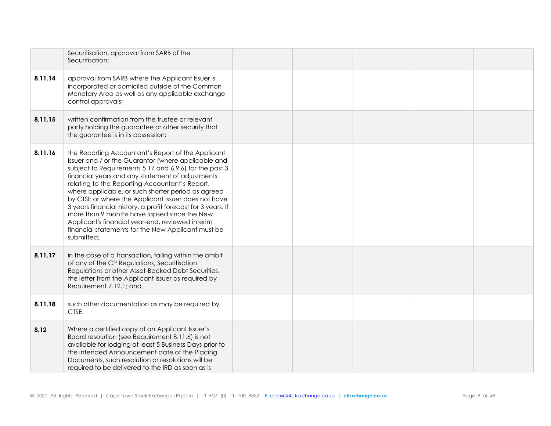|         | Securitisation, approval from SARB of the<br>Securitisation;                                                                                                                                                                                                                                                                                                                                                                                                                                                                                                                                                                   |  |  |  |
|---------|--------------------------------------------------------------------------------------------------------------------------------------------------------------------------------------------------------------------------------------------------------------------------------------------------------------------------------------------------------------------------------------------------------------------------------------------------------------------------------------------------------------------------------------------------------------------------------------------------------------------------------|--|--|--|
| 8.11.14 | approval from SARB where the Applicant Issuer is<br>incorporated or domiciled outside of the Common<br>Monetary Area as well as any applicable exchange<br>control approvals;                                                                                                                                                                                                                                                                                                                                                                                                                                                  |  |  |  |
| 8.11.15 | written confirmation from the trustee or relevant<br>party holding the guarantee or other security that<br>the guarantee is in its possession;                                                                                                                                                                                                                                                                                                                                                                                                                                                                                 |  |  |  |
| 8.11.16 | the Reporting Accountant's Report of the Applicant<br>Issuer and / or the Guarantor (where applicable and<br>subject to Requirements 5.17 and 6.9.6) for the past 3<br>financial years and any statement of adjustments<br>relating to the Reporting Accountant's Report,<br>where applicable, or such shorter period as agreed<br>by CTSE or where the Applicant Issuer does not have<br>3 years financial history, a profit forecast for 3 years. If<br>more than 9 months have lapsed since the New<br>Applicant's financial year-end, reviewed interim<br>financial statements for the New Applicant must be<br>submitted; |  |  |  |
| 8.11.17 | in the case of a transaction, falling within the ambit<br>of any of the CP Regulations, Securitisation<br>Regulations or other Asset-Backed Debt Securities,<br>the letter from the Applicant Issuer as required by<br>Requirement 7.12.1; and                                                                                                                                                                                                                                                                                                                                                                                 |  |  |  |
| 8.11.18 | such other documentation as may be required by<br>CTSE.                                                                                                                                                                                                                                                                                                                                                                                                                                                                                                                                                                        |  |  |  |
| 8.12    | Where a certified copy of an Applicant Issuer's<br>Board resolution (see Requirement 8.11.6) is not<br>available for lodging at least 5 Business Days prior to<br>the intended Announcement date of the Placing<br>Documents, such resolution or resolutions will be<br>required to be delivered to the IRD as soon as is                                                                                                                                                                                                                                                                                                      |  |  |  |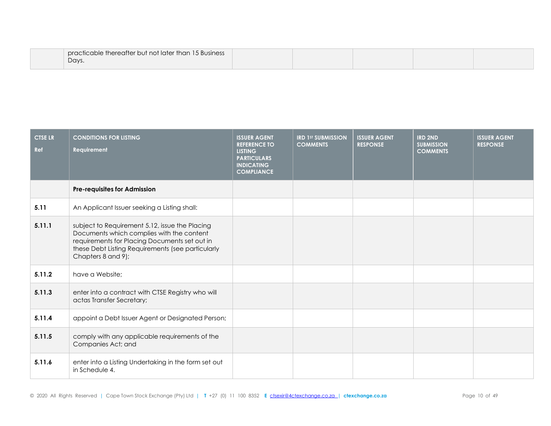| practicable thereafter but not later than 15 Business |  |  |  |
|-------------------------------------------------------|--|--|--|
| Days.                                                 |  |  |  |

| <b>CTSE LR</b><br>Ref | <b>CONDITIONS FOR LISTING</b><br>Requirement                                                                                                                                                                            | <b>ISSUER AGENT</b><br><b>REFERENCE TO</b><br><b>LISTING</b><br><b>PARTICULARS</b><br><b>INDICATING</b><br><b>COMPLIANCE</b> | <b>IRD 1ST SUBMISSION</b><br><b>COMMENTS</b> | <b>ISSUER AGENT</b><br><b>RESPONSE</b> | <b>IRD 2ND</b><br><b>SUBMISSION</b><br><b>COMMENTS</b> | <b>ISSUER AGENT</b><br><b>RESPONSE</b> |
|-----------------------|-------------------------------------------------------------------------------------------------------------------------------------------------------------------------------------------------------------------------|------------------------------------------------------------------------------------------------------------------------------|----------------------------------------------|----------------------------------------|--------------------------------------------------------|----------------------------------------|
|                       | <b>Pre-requisites for Admission</b>                                                                                                                                                                                     |                                                                                                                              |                                              |                                        |                                                        |                                        |
| 5.11                  | An Applicant Issuer seeking a Listing shall:                                                                                                                                                                            |                                                                                                                              |                                              |                                        |                                                        |                                        |
| 5.11.1                | subject to Requirement 5.12, issue the Placing<br>Documents which complies with the content<br>requirements for Placing Documents set out in<br>these Debt Listing Requirements (see particularly<br>Chapters 8 and 9); |                                                                                                                              |                                              |                                        |                                                        |                                        |
| 5.11.2                | have a Website;                                                                                                                                                                                                         |                                                                                                                              |                                              |                                        |                                                        |                                        |
| 5.11.3                | enter into a contract with CTSE Registry who will<br>actas Transfer Secretary;                                                                                                                                          |                                                                                                                              |                                              |                                        |                                                        |                                        |
| 5.11.4                | appoint a Debt Issuer Agent or Designated Person;                                                                                                                                                                       |                                                                                                                              |                                              |                                        |                                                        |                                        |
| 5.11.5                | comply with any applicable requirements of the<br>Companies Act; and                                                                                                                                                    |                                                                                                                              |                                              |                                        |                                                        |                                        |
| 5.11.6                | enter into a Listing Undertaking in the form set out<br>in Schedule 4.                                                                                                                                                  |                                                                                                                              |                                              |                                        |                                                        |                                        |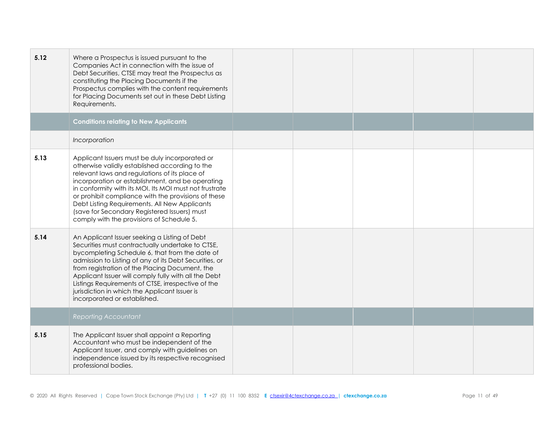| 5.12 | Where a Prospectus is issued pursuant to the<br>Companies Act in connection with the issue of<br>Debt Securities, CTSE may treat the Prospectus as<br>constituting the Placing Documents if the<br>Prospectus complies with the content requirements<br>for Placing Documents set out in these Debt Listing<br>Requirements.                                                                                                                                         |  |  |  |
|------|----------------------------------------------------------------------------------------------------------------------------------------------------------------------------------------------------------------------------------------------------------------------------------------------------------------------------------------------------------------------------------------------------------------------------------------------------------------------|--|--|--|
|      | <b>Conditions relating to New Applicants</b>                                                                                                                                                                                                                                                                                                                                                                                                                         |  |  |  |
|      | Incorporation                                                                                                                                                                                                                                                                                                                                                                                                                                                        |  |  |  |
| 5.13 | Applicant Issuers must be duly incorporated or<br>otherwise validly established according to the<br>relevant laws and regulations of its place of<br>incorporation or establishment, and be operating<br>in conformity with its MOI. Its MOI must not frustrate<br>or prohibit compliance with the provisions of these<br>Debt Listing Requirements. All New Applicants<br>(save for Secondary Registered Issuers) must<br>comply with the provisions of Schedule 5. |  |  |  |
| 5.14 | An Applicant Issuer seeking a Listing of Debt<br>Securities must contractually undertake to CTSE,<br>bycompleting Schedule 6, that from the date of<br>admission to Listing of any of its Debt Securities, or<br>from registration of the Placing Document, the<br>Applicant Issuer will comply fully with all the Debt<br>Listings Requirements of CTSE, irrespective of the<br>jurisdiction in which the Applicant Issuer is<br>incorporated or established.       |  |  |  |
|      | <b>Reporting Accountant</b>                                                                                                                                                                                                                                                                                                                                                                                                                                          |  |  |  |
| 5.15 | The Applicant Issuer shall appoint a Reporting<br>Accountant who must be independent of the<br>Applicant Issuer, and comply with guidelines on<br>independence issued by its respective recognised<br>professional bodies.                                                                                                                                                                                                                                           |  |  |  |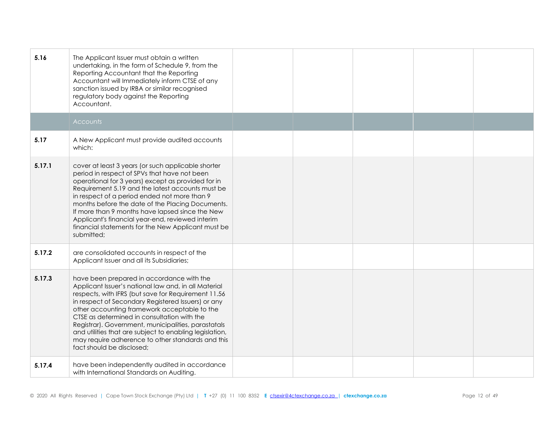| 5.16   | The Applicant Issuer must obtain a written<br>undertaking, in the form of Schedule 9, from the<br>Reporting Accountant that the Reporting<br>Accountant will Immediately inform CTSE of any<br>sanction issued by IRBA or similar recognised<br>regulatory body against the Reporting<br>Accountant.                                                                                                                                                                                                              |  |  |  |
|--------|-------------------------------------------------------------------------------------------------------------------------------------------------------------------------------------------------------------------------------------------------------------------------------------------------------------------------------------------------------------------------------------------------------------------------------------------------------------------------------------------------------------------|--|--|--|
|        | <b>Accounts</b>                                                                                                                                                                                                                                                                                                                                                                                                                                                                                                   |  |  |  |
| 5.17   | A New Applicant must provide audited accounts<br>which:                                                                                                                                                                                                                                                                                                                                                                                                                                                           |  |  |  |
| 5.17.1 | cover at least 3 years (or such applicable shorter<br>period in respect of SPVs that have not been<br>operational for 3 years) except as provided for in<br>Requirement 5.19 and the latest accounts must be<br>in respect of a period ended not more than 9<br>months before the date of the Placing Documents.<br>If more than 9 months have lapsed since the New<br>Applicant's financial year-end, reviewed interim<br>financial statements for the New Applicant must be<br>submitted;                       |  |  |  |
| 5.17.2 | are consolidated accounts in respect of the<br>Applicant Issuer and all its Subsidiaries;                                                                                                                                                                                                                                                                                                                                                                                                                         |  |  |  |
| 5.17.3 | have been prepared in accordance with the<br>Applicant Issuer's national law and, in all Material<br>respects, with IFRS (but save for Requirement 11.56<br>in respect of Secondary Registered Issuers) or any<br>other accounting framework acceptable to the<br>CTSE as determined in consultation with the<br>Registrar). Government, municipalities, parastatals<br>and utilities that are subject to enabling legislation,<br>may require adherence to other standards and this<br>fact should be disclosed; |  |  |  |
| 5.17.4 | have been independently audited in accordance<br>with International Standards on Auditing.                                                                                                                                                                                                                                                                                                                                                                                                                        |  |  |  |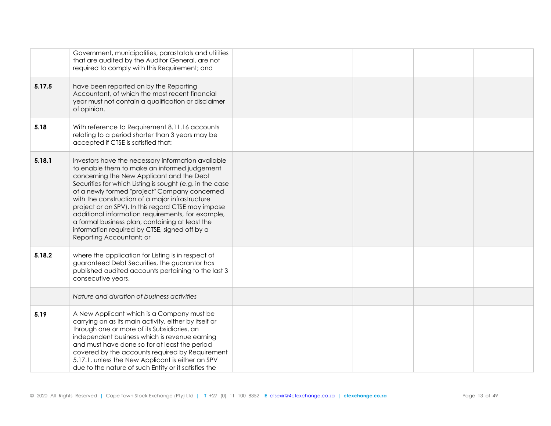|        | Government, municipalities, parastatals and utilities<br>that are audited by the Auditor General, are not<br>required to comply with this Requirement; and                                                                                                                                                                                                                                                                                                                                                                                                 |  |  |  |
|--------|------------------------------------------------------------------------------------------------------------------------------------------------------------------------------------------------------------------------------------------------------------------------------------------------------------------------------------------------------------------------------------------------------------------------------------------------------------------------------------------------------------------------------------------------------------|--|--|--|
| 5.17.5 | have been reported on by the Reporting<br>Accountant, of which the most recent financial<br>year must not contain a qualification or disclaimer<br>of opinion.                                                                                                                                                                                                                                                                                                                                                                                             |  |  |  |
| 5.18   | With reference to Requirement 8.11.16 accounts<br>relating to a period shorter than 3 years may be<br>accepted if CTSE is satisfied that:                                                                                                                                                                                                                                                                                                                                                                                                                  |  |  |  |
| 5.18.1 | Investors have the necessary information available<br>to enable them to make an informed judgement<br>concerning the New Applicant and the Debt<br>Securities for which Listing is sought (e.g. in the case<br>of a newly formed "project" Company concerned<br>with the construction of a major infrastructure<br>project or an SPV). In this regard CTSE may impose<br>additional information requirements, for example,<br>a formal business plan, containing at least the<br>information required by CTSE, signed off by a<br>Reporting Accountant; or |  |  |  |
| 5.18.2 | where the application for Listing is in respect of<br>guaranteed Debt Securities, the guarantor has<br>published audited accounts pertaining to the last 3<br>consecutive years.                                                                                                                                                                                                                                                                                                                                                                           |  |  |  |
|        | Nature and duration of business activities                                                                                                                                                                                                                                                                                                                                                                                                                                                                                                                 |  |  |  |
| 5.19   | A New Applicant which is a Company must be<br>carrying on as its main activity, either by itself or<br>through one or more of its Subsidiaries, an<br>independent business which is revenue earning<br>and must have done so for at least the period<br>covered by the accounts required by Requirement<br>5.17.1, unless the New Applicant is either an SPV<br>due to the nature of such Entity or it satisfies the                                                                                                                                       |  |  |  |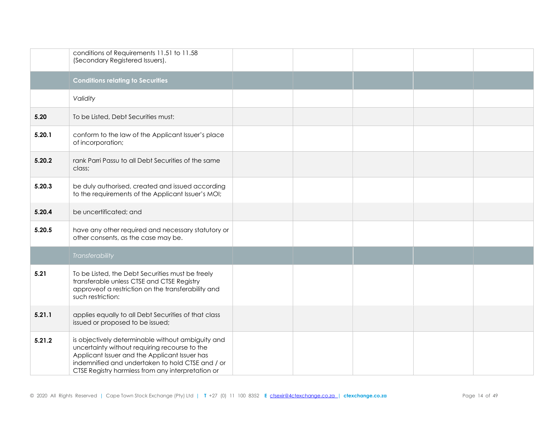|        | conditions of Requirements 11.51 to 11.58<br>(Secondary Registered Issuers).                                                                                                                                                                                 |  |  |  |
|--------|--------------------------------------------------------------------------------------------------------------------------------------------------------------------------------------------------------------------------------------------------------------|--|--|--|
|        | <b>Conditions relating to Securities</b>                                                                                                                                                                                                                     |  |  |  |
|        | Validity                                                                                                                                                                                                                                                     |  |  |  |
| 5.20   | To be Listed, Debt Securities must:                                                                                                                                                                                                                          |  |  |  |
| 5.20.1 | conform to the law of the Applicant Issuer's place<br>of incorporation;                                                                                                                                                                                      |  |  |  |
| 5.20.2 | rank Parri Passu to all Debt Securities of the same<br>class;                                                                                                                                                                                                |  |  |  |
| 5.20.3 | be duly authorised, created and issued according<br>to the requirements of the Applicant Issuer's MOI;                                                                                                                                                       |  |  |  |
| 5.20.4 | be uncertificated; and                                                                                                                                                                                                                                       |  |  |  |
| 5.20.5 | have any other required and necessary statutory or<br>other consents, as the case may be.                                                                                                                                                                    |  |  |  |
|        | Transferability                                                                                                                                                                                                                                              |  |  |  |
| 5.21   | To be Listed, the Debt Securities must be freely<br>transferable unless CTSE and CTSE Registry<br>approveof a restriction on the transferability and<br>such restriction:                                                                                    |  |  |  |
| 5.21.1 | applies equally to all Debt Securities of that class<br>issued or proposed to be issued;                                                                                                                                                                     |  |  |  |
| 5.21.2 | is objectively determinable without ambiguity and<br>uncertainty without requiring recourse to the<br>Applicant Issuer and the Applicant Issuer has<br>indemnified and undertaken to hold CTSE and / or<br>CTSE Registry harmless from any interpretation or |  |  |  |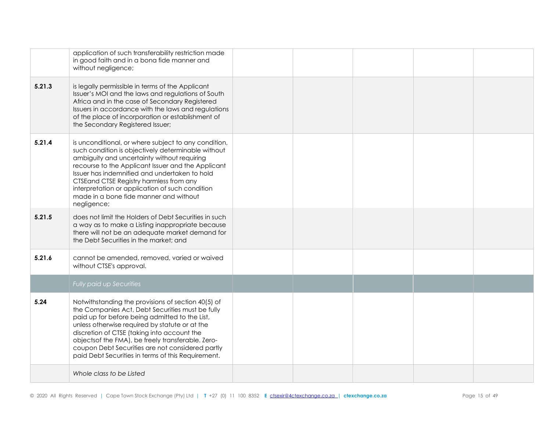|        | application of such transferability restriction made<br>in good faith and in a bona fide manner and<br>without negligence;                                                                                                                                                                                                                                                                                               |  |  |  |
|--------|--------------------------------------------------------------------------------------------------------------------------------------------------------------------------------------------------------------------------------------------------------------------------------------------------------------------------------------------------------------------------------------------------------------------------|--|--|--|
| 5.21.3 | is legally permissible in terms of the Applicant<br>Issuer's MOI and the laws and regulations of South<br>Africa and in the case of Secondary Registered<br>Issuers in accordance with the laws and regulations<br>of the place of incorporation or establishment of<br>the Secondary Registered Issuer;                                                                                                                 |  |  |  |
| 5.21.4 | is unconditional, or where subject to any condition,<br>such condition is objectively determinable without<br>ambiguity and uncertainty without requiring<br>recourse to the Applicant Issuer and the Applicant<br>Issuer has indemnified and undertaken to hold<br>CTSEand CTSE Registry harmless from any<br>interpretation or application of such condition<br>made in a bone fide manner and without<br>negligence;  |  |  |  |
| 5.21.5 | does not limit the Holders of Debt Securities in such<br>a way as to make a Listing inappropriate because<br>there will not be an adequate market demand for<br>the Debt Securities in the market; and                                                                                                                                                                                                                   |  |  |  |
| 5.21.6 | cannot be amended, removed, varied or waived<br>without CTSE's approval.                                                                                                                                                                                                                                                                                                                                                 |  |  |  |
|        | Fully paid up Securities                                                                                                                                                                                                                                                                                                                                                                                                 |  |  |  |
| 5.24   | Notwithstanding the provisions of section 40(5) of<br>the Companies Act, Debt Securities must be fully<br>paid up for before being admitted to the List,<br>unless otherwise required by statute or at the<br>discretion of CTSE (taking into account the<br>objectsof the FMA), be freely transferable. Zero-<br>coupon Debt Securities are not considered partly<br>paid Debt Securities in terms of this Requirement. |  |  |  |
|        | Whole class to be Listed                                                                                                                                                                                                                                                                                                                                                                                                 |  |  |  |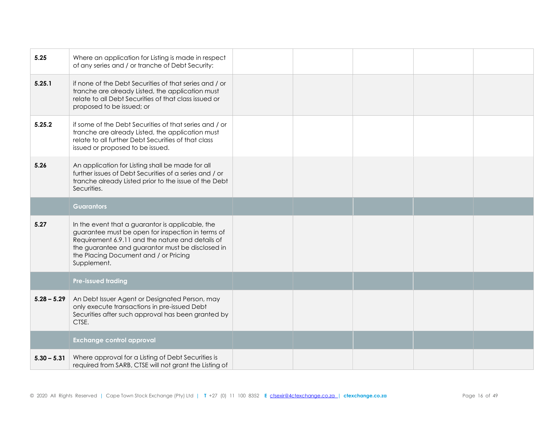| 5.25          | Where an application for Listing is made in respect<br>of any series and / or tranche of Debt Security:                                                                                                                                                               |  |  |  |
|---------------|-----------------------------------------------------------------------------------------------------------------------------------------------------------------------------------------------------------------------------------------------------------------------|--|--|--|
| 5.25.1        | if none of the Debt Securities of that series and / or<br>tranche are already Listed, the application must<br>relate to all Debt Securities of that class issued or<br>proposed to be issued; or                                                                      |  |  |  |
| 5.25.2        | if some of the Debt Securities of that series and / or<br>tranche are already Listed, the application must<br>relate to all further Debt Securities of that class<br>issued or proposed to be issued.                                                                 |  |  |  |
| 5.26          | An application for Listing shall be made for all<br>further issues of Debt Securities of a series and / or<br>tranche already Listed prior to the issue of the Debt<br>Securities.                                                                                    |  |  |  |
|               | <b>Guarantors</b>                                                                                                                                                                                                                                                     |  |  |  |
|               |                                                                                                                                                                                                                                                                       |  |  |  |
| 5.27          | In the event that a guarantor is applicable, the<br>guarantee must be open for inspection in terms of<br>Requirement 6.9.11 and the nature and details of<br>the guarantee and guarantor must be disclosed in<br>the Placing Document and / or Pricing<br>Supplement. |  |  |  |
|               | <b>Pre-issued trading</b>                                                                                                                                                                                                                                             |  |  |  |
| $5.28 - 5.29$ | An Debt Issuer Agent or Designated Person, may<br>only execute transactions in pre-issued Debt<br>Securities after such approval has been granted by<br>CTSE.                                                                                                         |  |  |  |
|               | <b>Exchange control approval</b>                                                                                                                                                                                                                                      |  |  |  |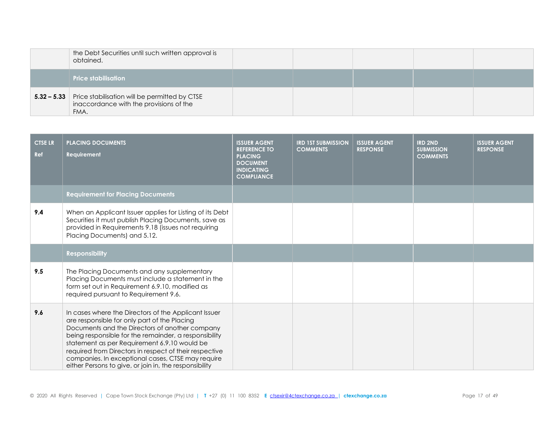| the Debt Securities until such written approval is<br>obtained.                                                     |  |  |  |
|---------------------------------------------------------------------------------------------------------------------|--|--|--|
| <b>Price stabilisation</b>                                                                                          |  |  |  |
| <b>5.32 - 5.33</b> Price stabilisation will be permitted by CTSE<br>inaccordance with the provisions of the<br>FMA. |  |  |  |

| <b>CTSE LR</b><br>Ref | <b>PLACING DOCUMENTS</b><br>Requirement                                                                                                                                                                                                                                                                                                                                                                                                  | <b>ISSUER AGENT</b><br><b>REFERENCE TO</b><br><b>PLACING</b><br><b>DOCUMENT</b><br><b>INDICATING</b><br><b>COMPLIANCE</b> | <b>IRD 1ST SUBMISSION</b><br><b>COMMENTS</b> | <b>ISSUER AGENT</b><br><b>RESPONSE</b> | <b>IRD 2ND</b><br><b>SUBMISSION</b><br><b>COMMENTS</b> | <b>ISSUER AGENT</b><br><b>RESPONSE</b> |
|-----------------------|------------------------------------------------------------------------------------------------------------------------------------------------------------------------------------------------------------------------------------------------------------------------------------------------------------------------------------------------------------------------------------------------------------------------------------------|---------------------------------------------------------------------------------------------------------------------------|----------------------------------------------|----------------------------------------|--------------------------------------------------------|----------------------------------------|
|                       | <b>Requirement for Placing Documents</b>                                                                                                                                                                                                                                                                                                                                                                                                 |                                                                                                                           |                                              |                                        |                                                        |                                        |
| 9.4                   | When an Applicant Issuer applies for Listing of its Debt<br>Securities it must publish Placing Documents, save as<br>provided in Requirements 9.18 (issues not requiring<br>Placing Documents) and 5.12.                                                                                                                                                                                                                                 |                                                                                                                           |                                              |                                        |                                                        |                                        |
|                       | <b>Responsibility</b>                                                                                                                                                                                                                                                                                                                                                                                                                    |                                                                                                                           |                                              |                                        |                                                        |                                        |
| 9.5                   | The Placing Documents and any supplementary<br>Placing Documents must include a statement in the<br>form set out in Requirement 6.9.10, modified as<br>required pursuant to Requirement 9.6.                                                                                                                                                                                                                                             |                                                                                                                           |                                              |                                        |                                                        |                                        |
| 9.6                   | In cases where the Directors of the Applicant Issuer<br>are responsible for only part of the Placing<br>Documents and the Directors of another company<br>being responsible for the remainder, a responsibility<br>statement as per Requirement 6.9.10 would be<br>required from Directors in respect of their respective<br>companies. In exceptional cases, CTSE may require<br>either Persons to give, or join in, the responsibility |                                                                                                                           |                                              |                                        |                                                        |                                        |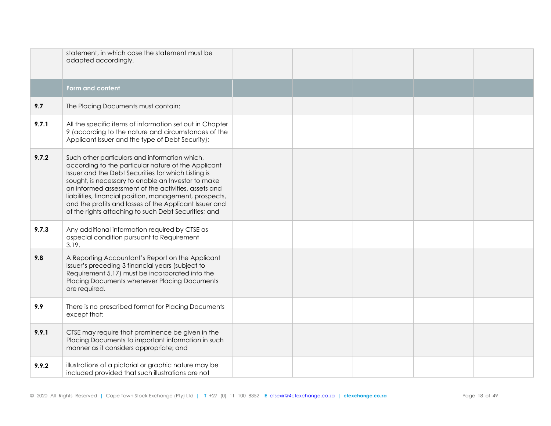|       | statement, in which case the statement must be<br>adapted accordingly.                                                                                                                                                                                                                                                                                                                                                                                 |  |  |  |
|-------|--------------------------------------------------------------------------------------------------------------------------------------------------------------------------------------------------------------------------------------------------------------------------------------------------------------------------------------------------------------------------------------------------------------------------------------------------------|--|--|--|
|       | Form and content                                                                                                                                                                                                                                                                                                                                                                                                                                       |  |  |  |
| 9.7   | The Placing Documents must contain:                                                                                                                                                                                                                                                                                                                                                                                                                    |  |  |  |
| 9.7.1 | All the specific items of information set out in Chapter<br>9 (according to the nature and circumstances of the<br>Applicant Issuer and the type of Debt Security);                                                                                                                                                                                                                                                                                    |  |  |  |
| 9.7.2 | Such other particulars and information which,<br>according to the particular nature of the Applicant<br>Issuer and the Debt Securities for which Listing is<br>sought, is necessary to enable an Investor to make<br>an informed assessment of the activities, assets and<br>liabilities, financial position, management, prospects,<br>and the profits and losses of the Applicant Issuer and<br>of the rights attaching to such Debt Securities; and |  |  |  |
| 9.7.3 | Any additional information required by CTSE as<br>aspecial condition pursuant to Requirement<br>3.19.                                                                                                                                                                                                                                                                                                                                                  |  |  |  |
| 9.8   | A Reporting Accountant's Report on the Applicant<br>Issuer's preceding 3 financial years (subject to<br>Requirement 5.17) must be incorporated into the<br>Placing Documents whenever Placing Documents<br>are required.                                                                                                                                                                                                                               |  |  |  |
| 9.9   | There is no prescribed format for Placing Documents<br>except that:                                                                                                                                                                                                                                                                                                                                                                                    |  |  |  |
| 9.9.1 | CTSE may require that prominence be given in the<br>Placing Documents to important information in such<br>manner as it considers appropriate; and                                                                                                                                                                                                                                                                                                      |  |  |  |
| 9.9.2 | illustrations of a pictorial or graphic nature may be<br>included provided that such illustrations are not                                                                                                                                                                                                                                                                                                                                             |  |  |  |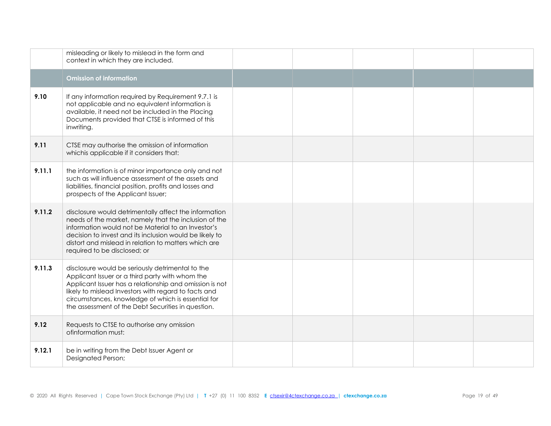|        | misleading or likely to mislead in the form and<br>context in which they are included.                                                                                                                                                                                                                                             |  |  |  |
|--------|------------------------------------------------------------------------------------------------------------------------------------------------------------------------------------------------------------------------------------------------------------------------------------------------------------------------------------|--|--|--|
|        | <b>Omission of information</b>                                                                                                                                                                                                                                                                                                     |  |  |  |
| 9.10   | If any information required by Requirement 9.7.1 is<br>not applicable and no equivalent information is<br>available, it need not be included in the Placing<br>Documents provided that CTSE is informed of this<br>inwriting.                                                                                                      |  |  |  |
| 9.11   | CTSE may authorise the omission of information<br>whichis applicable if it considers that:                                                                                                                                                                                                                                         |  |  |  |
| 9.11.1 | the information is of minor importance only and not<br>such as will influence assessment of the assets and<br>liabilities, financial position, profits and losses and<br>prospects of the Applicant Issuer;                                                                                                                        |  |  |  |
| 9.11.2 | disclosure would detrimentally affect the information<br>needs of the market, namely that the inclusion of the<br>information would not be Material to an Investor's<br>decision to invest and its inclusion would be likely to<br>distort and mislead in relation to matters which are<br>required to be disclosed; or            |  |  |  |
| 9.11.3 | disclosure would be seriously detrimental to the<br>Applicant Issuer or a third party with whom the<br>Applicant Issuer has a relationship and omission is not<br>likely to mislead Investors with regard to facts and<br>circumstances, knowledge of which is essential for<br>the assessment of the Debt Securities in question. |  |  |  |
| 9.12   | Requests to CTSE to authorise any omission<br>ofinformation must:                                                                                                                                                                                                                                                                  |  |  |  |
| 9.12.1 | be in writing from the Debt Issuer Agent or<br>Designated Person;                                                                                                                                                                                                                                                                  |  |  |  |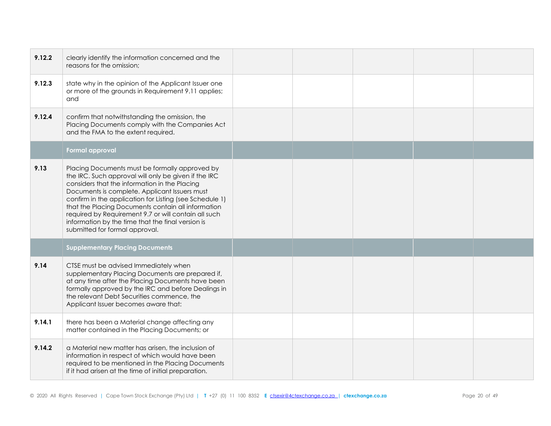| 9.12.2 | clearly identify the information concerned and the<br>reasons for the omission;                                                                                                                                                                                                                                                                                                                                                                                          |  |  |  |
|--------|--------------------------------------------------------------------------------------------------------------------------------------------------------------------------------------------------------------------------------------------------------------------------------------------------------------------------------------------------------------------------------------------------------------------------------------------------------------------------|--|--|--|
| 9.12.3 | state why in the opinion of the Applicant Issuer one<br>or more of the grounds in Requirement 9.11 applies;<br>and                                                                                                                                                                                                                                                                                                                                                       |  |  |  |
| 9.12.4 | confirm that notwithstanding the omission, the<br>Placing Documents comply with the Companies Act<br>and the FMA to the extent required.                                                                                                                                                                                                                                                                                                                                 |  |  |  |
|        | <b>Formal approval</b>                                                                                                                                                                                                                                                                                                                                                                                                                                                   |  |  |  |
| 9.13   | Placing Documents must be formally approved by<br>the IRC. Such approval will only be given if the IRC<br>considers that the information in the Placing<br>Documents is complete. Applicant Issuers must<br>confirm in the application for Listing (see Schedule 1)<br>that the Placing Documents contain all information<br>required by Requirement 9.7 or will contain all such<br>information by the time that the final version is<br>submitted for formal approval. |  |  |  |
|        | <b>Supplementary Placing Documents</b>                                                                                                                                                                                                                                                                                                                                                                                                                                   |  |  |  |
| 9.14   | CTSE must be advised Immediately when<br>supplementary Placing Documents are prepared if,<br>at any time after the Placing Documents have been<br>formally approved by the IRC and before Dealings in<br>the relevant Debt Securities commence, the<br>Applicant Issuer becomes aware that:                                                                                                                                                                              |  |  |  |
| 9.14.1 | there has been a Material change affecting any<br>matter contained in the Placing Documents; or                                                                                                                                                                                                                                                                                                                                                                          |  |  |  |
| 9.14.2 | a Material new matter has arisen, the inclusion of<br>information in respect of which would have been<br>required to be mentioned in the Placing Documents<br>if it had arisen at the time of initial preparation.                                                                                                                                                                                                                                                       |  |  |  |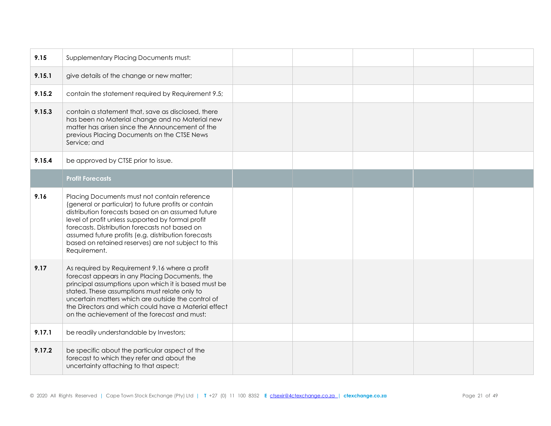| 9.15   | Supplementary Placing Documents must:                                                                                                                                                                                                                                                                                                                                                          |  |  |  |
|--------|------------------------------------------------------------------------------------------------------------------------------------------------------------------------------------------------------------------------------------------------------------------------------------------------------------------------------------------------------------------------------------------------|--|--|--|
| 9.15.1 | give details of the change or new matter;                                                                                                                                                                                                                                                                                                                                                      |  |  |  |
| 9.15.2 | contain the statement required by Requirement 9.5;                                                                                                                                                                                                                                                                                                                                             |  |  |  |
| 9.15.3 | contain a statement that, save as disclosed, there<br>has been no Material change and no Material new<br>matter has arisen since the Announcement of the<br>previous Placing Documents on the CTSE News<br>Service; and                                                                                                                                                                        |  |  |  |
| 9.15.4 | be approved by CTSE prior to issue.                                                                                                                                                                                                                                                                                                                                                            |  |  |  |
|        | <b>Profit Forecasts</b>                                                                                                                                                                                                                                                                                                                                                                        |  |  |  |
| 9.16   | Placing Documents must not contain reference<br>(general or particular) to future profits or contain<br>distribution forecasts based on an assumed future<br>level of profit unless supported by formal profit<br>forecasts. Distribution forecasts not based on<br>assumed future profits (e.g. distribution forecasts<br>based on retained reserves) are not subject to this<br>Requirement. |  |  |  |
| 9.17   | As required by Requirement 9.16 where a profit<br>forecast appears in any Placing Documents, the<br>principal assumptions upon which it is based must be<br>stated. These assumptions must relate only to<br>uncertain matters which are outside the control of<br>the Directors and which could have a Material effect<br>on the achievement of the forecast and must:                        |  |  |  |
| 9.17.1 | be readily understandable by Investors;                                                                                                                                                                                                                                                                                                                                                        |  |  |  |
| 9.17.2 | be specific about the particular aspect of the<br>forecast to which they refer and about the<br>uncertainty attaching to that aspect;                                                                                                                                                                                                                                                          |  |  |  |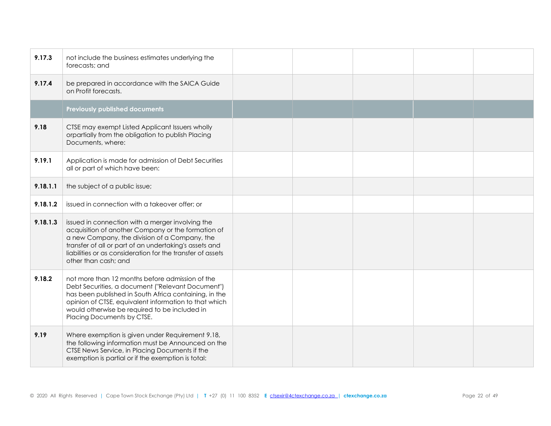| 9.17.3   | not include the business estimates underlying the<br>forecasts; and                                                                                                                                                                                                                                     |  |  |  |
|----------|---------------------------------------------------------------------------------------------------------------------------------------------------------------------------------------------------------------------------------------------------------------------------------------------------------|--|--|--|
| 9.17.4   | be prepared in accordance with the SAICA Guide<br>on Profit forecasts.                                                                                                                                                                                                                                  |  |  |  |
|          | <b>Previously published documents</b>                                                                                                                                                                                                                                                                   |  |  |  |
| 9.18     | CTSE may exempt Listed Applicant Issuers wholly<br>orpartially from the obligation to publish Placing<br>Documents, where:                                                                                                                                                                              |  |  |  |
| 9.19.1   | Application is made for admission of Debt Securities<br>all or part of which have been:                                                                                                                                                                                                                 |  |  |  |
| 9.18.1.1 | the subject of a public issue;                                                                                                                                                                                                                                                                          |  |  |  |
| 9.18.1.2 | issued in connection with a takeover offer; or                                                                                                                                                                                                                                                          |  |  |  |
| 9.18.1.3 | issued in connection with a merger involving the<br>acquisition of another Company or the formation of<br>a new Company, the division of a Company, the<br>transfer of all or part of an undertaking's assets and<br>liabilities or as consideration for the transfer of assets<br>other than cash; and |  |  |  |
| 9.18.2   | not more than 12 months before admission of the<br>Debt Securities, a document ("Relevant Document")<br>has been published in South Africa containing, in the<br>opinion of CTSE, equivalent information to that which<br>would otherwise be required to be included in<br>Placing Documents by CTSE.   |  |  |  |
| 9.19     | Where exemption is given under Requirement 9.18,<br>the following information must be Announced on the<br>CTSE News Service, in Placing Documents if the<br>exemption is partial or if the exemption is total:                                                                                          |  |  |  |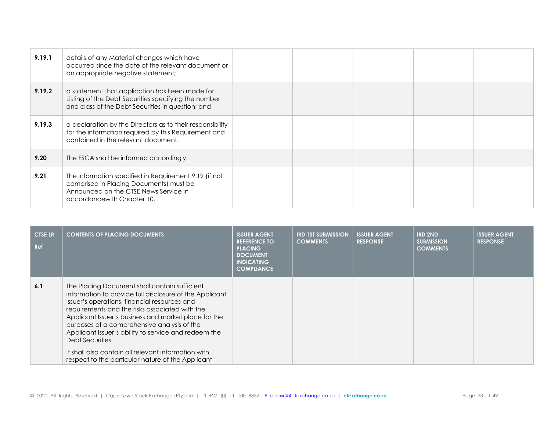| 9.19.1 | details of any Material changes which have<br>occurred since the date of the relevant document or<br>an appropriate negative statement;                                  |  |  |  |
|--------|--------------------------------------------------------------------------------------------------------------------------------------------------------------------------|--|--|--|
| 9.19.2 | a statement that application has been made for<br>Listing of the Debt Securities specifying the number<br>and class of the Debt Securities in question; and              |  |  |  |
| 9.19.3 | a declaration by the Directors as to their responsibility<br>for the information required by this Requirement and<br>contained in the relevant document.                 |  |  |  |
| 9.20   | The FSCA shall be informed accordingly.                                                                                                                                  |  |  |  |
| 9.21   | The information specified in Requirement 9.19 (if not<br>comprised in Placing Documents) must be<br>Announced on the CTSE News Service in<br>accordance with Chapter 10. |  |  |  |

| <b>CTSE LR</b><br>Ref | <b>CONTENTS OF PLACING DOCUMENTS</b>                                                                                                                                                                                                                                                                                                                                                                                                                                                                      | <b>ISSUER AGENT</b><br><b>REFERENCE TO</b><br><b>PLACING</b><br><b>DOCUMENT</b><br><b>INDICATING</b><br><b>COMPLIANCE</b> | <b>IRD 1ST SUBMISSION</b><br><b>COMMENTS</b> | <b>ISSUER AGENT</b><br><b>RESPONSE</b> | <b>IRD 2ND</b><br><b>SUBMISSION</b><br><b>COMMENTS</b> | <b>ISSUER AGENT</b><br><b>RESPONSE</b> |
|-----------------------|-----------------------------------------------------------------------------------------------------------------------------------------------------------------------------------------------------------------------------------------------------------------------------------------------------------------------------------------------------------------------------------------------------------------------------------------------------------------------------------------------------------|---------------------------------------------------------------------------------------------------------------------------|----------------------------------------------|----------------------------------------|--------------------------------------------------------|----------------------------------------|
| 6.1                   | The Placing Document shall contain sufficient<br>information to provide full disclosure of the Applicant<br>Issuer's operations, financial resources and<br>requirements and the risks associated with the<br>Applicant Issuer's business and market place for the<br>purposes of a comprehensive analysis of the<br>Applicant Issuer's ability to service and redeem the<br>Debt Securities.<br>It shall also contain all relevant information with<br>respect to the particular nature of the Applicant |                                                                                                                           |                                              |                                        |                                                        |                                        |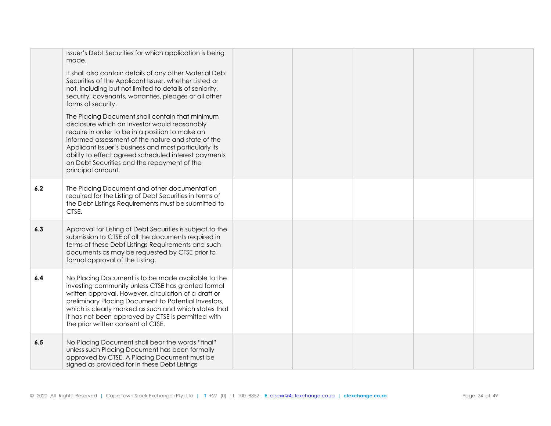|     | Issuer's Debt Securities for which application is being<br>made.                                                                                                                                                                                                                                                                                                                               |  |  |  |
|-----|------------------------------------------------------------------------------------------------------------------------------------------------------------------------------------------------------------------------------------------------------------------------------------------------------------------------------------------------------------------------------------------------|--|--|--|
|     | It shall also contain details of any other Material Debt<br>Securities of the Applicant Issuer, whether Listed or<br>not, including but not limited to details of seniority,<br>security, covenants, warranties, pledges or all other<br>forms of security.                                                                                                                                    |  |  |  |
|     | The Placing Document shall contain that minimum<br>disclosure which an Investor would reasonably<br>require in order to be in a position to make an<br>informed assessment of the nature and state of the<br>Applicant Issuer's business and most particularly its<br>ability to effect agreed scheduled interest payments<br>on Debt Securities and the repayment of the<br>principal amount. |  |  |  |
| 6.2 | The Placing Document and other documentation<br>required for the Listing of Debt Securities in terms of<br>the Debt Listings Requirements must be submitted to<br>CTSE.                                                                                                                                                                                                                        |  |  |  |
| 6.3 | Approval for Listing of Debt Securities is subject to the<br>submission to CTSE of all the documents required in<br>terms of these Debt Listings Requirements and such<br>documents as may be requested by CTSE prior to<br>formal approval of the Listing.                                                                                                                                    |  |  |  |
| 6.4 | No Placing Document is to be made available to the<br>investing community unless CTSE has granted formal<br>written approval. However, circulation of a draft or<br>preliminary Placing Document to Potential Investors,<br>which is clearly marked as such and which states that<br>it has not been approved by CTSE is permitted with<br>the prior written consent of CTSE.                  |  |  |  |
| 6.5 | No Placing Document shall bear the words "final"<br>unless such Placing Document has been formally<br>approved by CTSE. A Placing Document must be<br>signed as provided for in these Debt Listings                                                                                                                                                                                            |  |  |  |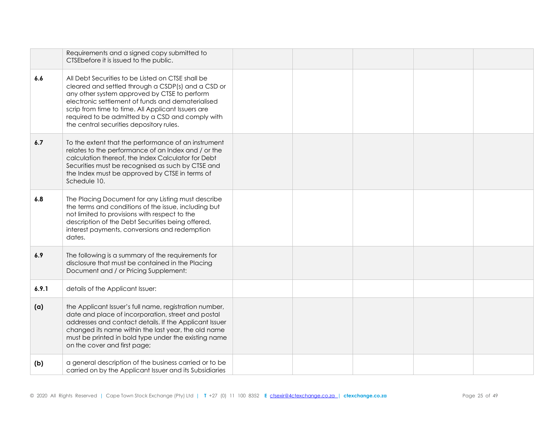|       | Requirements and a signed copy submitted to<br>CTSEbefore it is issued to the public.                                                                                                                                                                                                                                                                              |  |  |  |
|-------|--------------------------------------------------------------------------------------------------------------------------------------------------------------------------------------------------------------------------------------------------------------------------------------------------------------------------------------------------------------------|--|--|--|
| 6.6   | All Debt Securities to be Listed on CTSE shall be<br>cleared and settled through a CSDP(s) and a CSD or<br>any other system approved by CTSE to perform<br>electronic settlement of funds and dematerialised<br>scrip from time to time. All Applicant Issuers are<br>required to be admitted by a CSD and comply with<br>the central securities depository rules. |  |  |  |
| 6.7   | To the extent that the performance of an instrument<br>relates to the performance of an Index and / or the<br>calculation thereof, the Index Calculator for Debt<br>Securities must be recognised as such by CTSE and<br>the Index must be approved by CTSE in terms of<br>Schedule 10.                                                                            |  |  |  |
| 6.8   | The Placing Document for any Listing must describe<br>the terms and conditions of the issue, including but<br>not limited to provisions with respect to the<br>description of the Debt Securities being offered,<br>interest payments, conversions and redemption<br>dates.                                                                                        |  |  |  |
| 6.9   | The following is a summary of the requirements for<br>disclosure that must be contained in the Placing<br>Document and / or Pricing Supplement:                                                                                                                                                                                                                    |  |  |  |
| 6.9.1 | details of the Applicant Issuer:                                                                                                                                                                                                                                                                                                                                   |  |  |  |
| (a)   | the Applicant Issuer's full name, registration number,<br>date and place of incorporation, street and postal<br>addresses and contact details. If the Applicant Issuer<br>changed its name within the last year, the old name<br>must be printed in bold type under the existing name<br>on the cover and first page;                                              |  |  |  |
| (b)   | a general description of the business carried or to be<br>carried on by the Applicant Issuer and its Subsidiaries                                                                                                                                                                                                                                                  |  |  |  |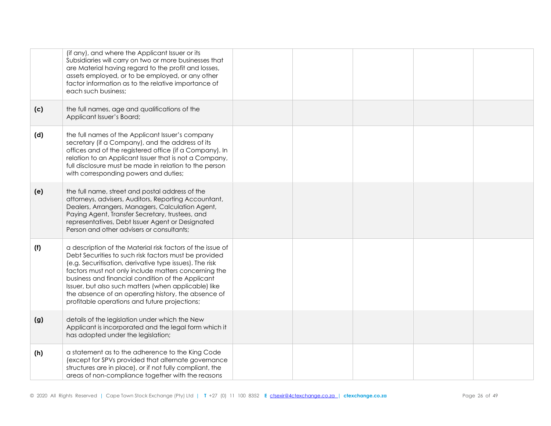|     | (if any), and where the Applicant Issuer or its<br>Subsidiaries will carry on two or more businesses that<br>are Material having regard to the profit and losses,<br>assets employed, or to be employed, or any other<br>factor information as to the relative importance of<br>each such business;                                                                                                                                                         |  |  |  |
|-----|-------------------------------------------------------------------------------------------------------------------------------------------------------------------------------------------------------------------------------------------------------------------------------------------------------------------------------------------------------------------------------------------------------------------------------------------------------------|--|--|--|
| (c) | the full names, age and qualifications of the<br>Applicant Issuer's Board;                                                                                                                                                                                                                                                                                                                                                                                  |  |  |  |
| (d) | the full names of the Applicant Issuer's company<br>secretary (if a Company), and the address of its<br>offices and of the registered office (if a Company). In<br>relation to an Applicant Issuer that is not a Company,<br>full disclosure must be made in relation to the person<br>with corresponding powers and duties;                                                                                                                                |  |  |  |
| (e) | the full name, street and postal address of the<br>attorneys, advisers, Auditors, Reporting Accountant,<br>Dealers, Arrangers, Managers, Calculation Agent,<br>Paying Agent, Transfer Secretary, trustees, and<br>representatives, Debt Issuer Agent or Designated<br>Person and other advisers or consultants;                                                                                                                                             |  |  |  |
| (f) | a description of the Material risk factors of the issue of<br>Debt Securities to such risk factors must be provided<br>(e.g. Securitisation, derivative type issues). The risk<br>factors must not only include matters concerning the<br>business and financial condition of the Applicant<br>Issuer, but also such matters (when applicable) like<br>the absence of an operating history, the absence of<br>profitable operations and future projections; |  |  |  |
| (g) | details of the legislation under which the New<br>Applicant is incorporated and the legal form which it<br>has adopted under the legislation;                                                                                                                                                                                                                                                                                                               |  |  |  |
| (h) | a statement as to the adherence to the King Code<br>(except for SPVs provided that alternate governance<br>structures are in place), or if not fully compliant, the<br>areas of non-compliance together with the reasons                                                                                                                                                                                                                                    |  |  |  |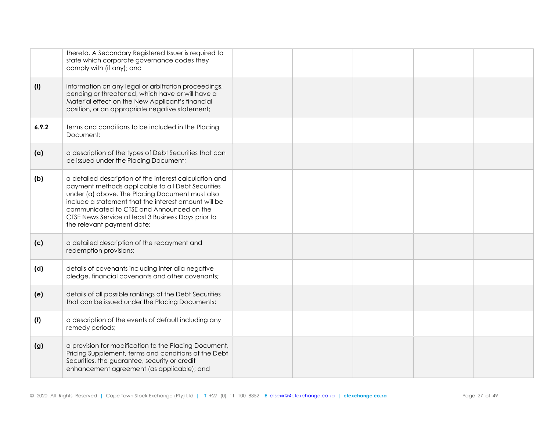|       | thereto. A Secondary Registered Issuer is required to<br>state which corporate governance codes they<br>comply with (if any); and                                                                                                                                                                                                                        |  |  |  |
|-------|----------------------------------------------------------------------------------------------------------------------------------------------------------------------------------------------------------------------------------------------------------------------------------------------------------------------------------------------------------|--|--|--|
| (i)   | information on any legal or arbitration proceedings,<br>pending or threatened, which have or will have a<br>Material effect on the New Applicant's financial<br>position, or an appropriate negative statement;                                                                                                                                          |  |  |  |
| 6.9.2 | terms and conditions to be included in the Placing<br>Document:                                                                                                                                                                                                                                                                                          |  |  |  |
| (a)   | a description of the types of Debt Securities that can<br>be issued under the Placing Document;                                                                                                                                                                                                                                                          |  |  |  |
| (b)   | a detailed description of the interest calculation and<br>payment methods applicable to all Debt Securities<br>under (a) above. The Placing Document must also<br>include a statement that the interest amount will be<br>communicated to CTSE and Announced on the<br>CTSE News Service at least 3 Business Days prior to<br>the relevant payment date; |  |  |  |
| (c)   | a detailed description of the repayment and<br>redemption provisions;                                                                                                                                                                                                                                                                                    |  |  |  |
| (d)   | details of covenants including inter alia negative<br>pledge, financial covenants and other covenants;                                                                                                                                                                                                                                                   |  |  |  |
| (e)   | details of all possible rankings of the Debt Securities<br>that can be issued under the Placing Documents;                                                                                                                                                                                                                                               |  |  |  |
| (f)   | a description of the events of default including any<br>remedy periods;                                                                                                                                                                                                                                                                                  |  |  |  |
| (g)   | a provision for modification to the Placing Document,<br>Pricing Supplement, terms and conditions of the Debt<br>Securities, the guarantee, security or credit<br>enhancement agreement (as applicable); and                                                                                                                                             |  |  |  |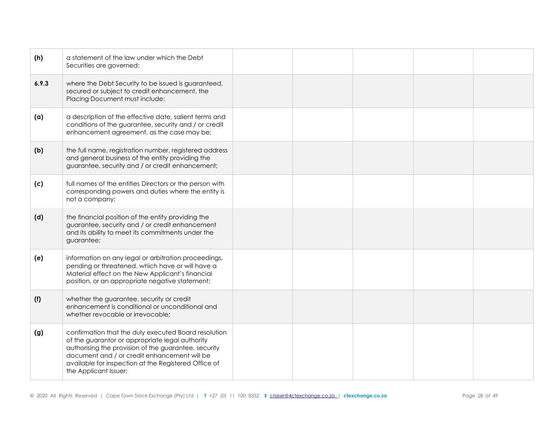| (h)   | a statement of the law under which the Debt<br>Securities are governed;                                                                                                                                                                                                                          |  |  |  |
|-------|--------------------------------------------------------------------------------------------------------------------------------------------------------------------------------------------------------------------------------------------------------------------------------------------------|--|--|--|
| 6.9.3 | where the Debt Security to be issued is guaranteed,<br>secured or subject to credit enhancement, the<br>Placing Document must include:                                                                                                                                                           |  |  |  |
| (a)   | a description of the effective date, salient terms and<br>conditions of the guarantee, security and / or credit<br>enhancement agreement, as the case may be;                                                                                                                                    |  |  |  |
| (b)   | the full name, registration number, registered address<br>and general business of the entity providing the<br>guarantee, security and / or credit enhancement;                                                                                                                                   |  |  |  |
| (c)   | full names of the entities Directors or the person with<br>corresponding powers and duties where the entity is<br>not a company;                                                                                                                                                                 |  |  |  |
| (d)   | the financial position of the entity providing the<br>guarantee, security and / or credit enhancement<br>and its ability to meet its commitments under the<br>guarantee;                                                                                                                         |  |  |  |
| (e)   | information on any legal or arbitration proceedings,<br>pending or threatened, which have or will have a<br>Material effect on the New Applicant's financial<br>position, or an appropriate negative statement;                                                                                  |  |  |  |
| (f)   | whether the guarantee, security or credit<br>enhancement is conditional or unconditional and<br>whether revocable or irrevocable;                                                                                                                                                                |  |  |  |
| (g)   | confirmation that the duly executed Board resolution<br>of the guarantor or appropriate legal authority<br>authorising the provision of the guarantee, security<br>document and / or credit enhancement will be<br>available for inspection at the Registered Office of<br>the Applicant Issuer; |  |  |  |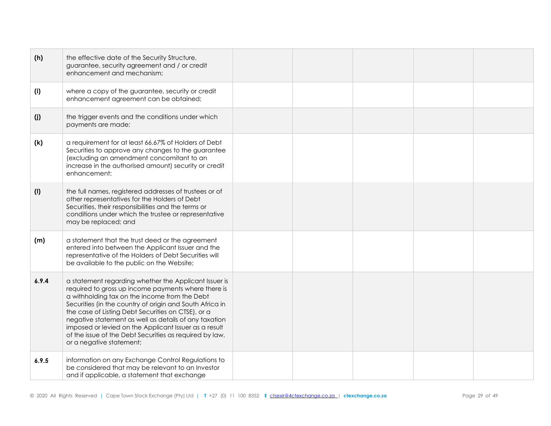| (h)   | the effective date of the Security Structure,<br>guarantee, security agreement and / or credit<br>enhancement and mechanism;                                                                                                                                                                                                                                                                                                                                                             |  |  |  |
|-------|------------------------------------------------------------------------------------------------------------------------------------------------------------------------------------------------------------------------------------------------------------------------------------------------------------------------------------------------------------------------------------------------------------------------------------------------------------------------------------------|--|--|--|
| (i)   | where a copy of the guarantee, security or credit<br>enhancement agreement can be obtained;                                                                                                                                                                                                                                                                                                                                                                                              |  |  |  |
| (j)   | the trigger events and the conditions under which<br>payments are made;                                                                                                                                                                                                                                                                                                                                                                                                                  |  |  |  |
| (k)   | a requirement for at least 66.67% of Holders of Debt<br>Securities to approve any changes to the guarantee<br>(excluding an amendment concomitant to an<br>increase in the authorised amount) security or credit<br>enhancement;                                                                                                                                                                                                                                                         |  |  |  |
| (1)   | the full names, registered addresses of trustees or of<br>other representatives for the Holders of Debt<br>Securities, their responsibilities and the terms or<br>conditions under which the trustee or representative<br>may be replaced; and                                                                                                                                                                                                                                           |  |  |  |
| (m)   | a statement that the trust deed or the agreement<br>entered into between the Applicant Issuer and the<br>representative of the Holders of Debt Securities will<br>be available to the public on the Website;                                                                                                                                                                                                                                                                             |  |  |  |
| 6.9.4 | a statement regarding whether the Applicant Issuer is<br>required to gross up income payments where there is<br>a withholding tax on the income from the Debt<br>Securities (in the country of origin and South Africa in<br>the case of Listing Debt Securities on CTSE), or a<br>negative statement as well as details of any taxation<br>imposed or levied on the Applicant Issuer as a result<br>of the issue of the Debt Securities as required by law,<br>or a negative statement; |  |  |  |
| 6.9.5 | information on any Exchange Control Regulations to<br>be considered that may be relevant to an Investor<br>and if applicable, a statement that exchange                                                                                                                                                                                                                                                                                                                                  |  |  |  |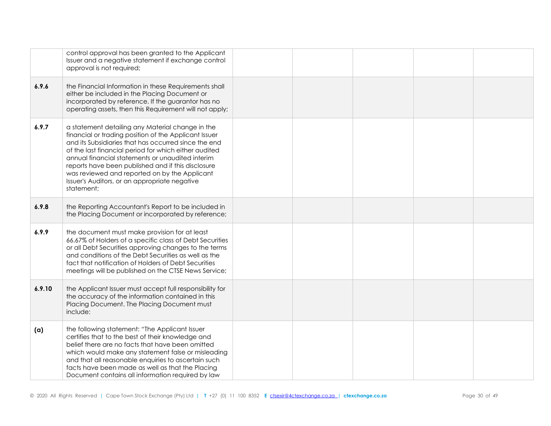|        | control approval has been granted to the Applicant<br>Issuer and a negative statement if exchange control<br>approval is not required;                                                                                                                                                                                                                                                                                                               |  |  |  |
|--------|------------------------------------------------------------------------------------------------------------------------------------------------------------------------------------------------------------------------------------------------------------------------------------------------------------------------------------------------------------------------------------------------------------------------------------------------------|--|--|--|
| 6.9.6  | the Financial Information in these Requirements shall<br>either be included in the Placing Document or<br>incorporated by reference. If the guarantor has no<br>operating assets, then this Requirement will not apply;                                                                                                                                                                                                                              |  |  |  |
| 6.9.7  | a statement detailing any Material change in the<br>financial or trading position of the Applicant Issuer<br>and its Subsidiaries that has occurred since the end<br>of the last financial period for which either audited<br>annual financial statements or unaudited interim<br>reports have been published and if this disclosure<br>was reviewed and reported on by the Applicant<br>Issuer's Auditors, or an appropriate negative<br>statement; |  |  |  |
| 6.9.8  | the Reporting Accountant's Report to be included in<br>the Placing Document or incorporated by reference;                                                                                                                                                                                                                                                                                                                                            |  |  |  |
| 6.9.9  | the document must make provision for at least<br>66.67% of Holders of a specific class of Debt Securities<br>or all Debt Securities approving changes to the terms<br>and conditions of the Debt Securities as well as the<br>fact that notification of Holders of Debt Securities<br>meetings will be published on the CTSE News Service;                                                                                                           |  |  |  |
| 6.9.10 | the Applicant Issuer must accept full responsibility for<br>the accuracy of the information contained in this<br>Placing Document. The Placing Document must<br>include:                                                                                                                                                                                                                                                                             |  |  |  |
| (a)    | the following statement: "The Applicant Issuer<br>certifies that to the best of their knowledge and<br>belief there are no facts that have been omitted<br>which would make any statement false or misleading<br>and that all reasonable enquiries to ascertain such<br>facts have been made as well as that the Placing<br>Document contains all information required by law                                                                        |  |  |  |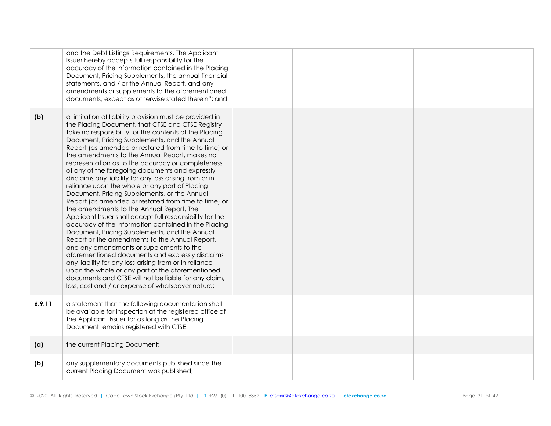|        | and the Debt Listings Requirements. The Applicant<br>Issuer hereby accepts full responsibility for the<br>accuracy of the information contained in the Placing<br>Document, Pricing Supplements, the annual financial<br>statements, and / or the Annual Report, and any<br>amendments or supplements to the aforementioned<br>documents, except as otherwise stated therein"; and                                                                                                                                                                                                                                                                                                                                                                                                                                                                                                                                                                                                                                                                                                                                                                                                                                                                           |  |  |  |
|--------|--------------------------------------------------------------------------------------------------------------------------------------------------------------------------------------------------------------------------------------------------------------------------------------------------------------------------------------------------------------------------------------------------------------------------------------------------------------------------------------------------------------------------------------------------------------------------------------------------------------------------------------------------------------------------------------------------------------------------------------------------------------------------------------------------------------------------------------------------------------------------------------------------------------------------------------------------------------------------------------------------------------------------------------------------------------------------------------------------------------------------------------------------------------------------------------------------------------------------------------------------------------|--|--|--|
| (b)    | a limitation of liability provision must be provided in<br>the Placing Document, that CTSE and CTSE Registry<br>take no responsibility for the contents of the Placing<br>Document, Pricing Supplements, and the Annual<br>Report (as amended or restated from time to time) or<br>the amendments to the Annual Report, makes no<br>representation as to the accuracy or completeness<br>of any of the foregoing documents and expressly<br>disclaims any liability for any loss arising from or in<br>reliance upon the whole or any part of Placing<br>Document, Pricing Supplements, or the Annual<br>Report (as amended or restated from time to time) or<br>the amendments to the Annual Report. The<br>Applicant Issuer shall accept full responsibility for the<br>accuracy of the information contained in the Placing<br>Document, Pricing Supplements, and the Annual<br>Report or the amendments to the Annual Report,<br>and any amendments or supplements to the<br>aforementioned documents and expressly disclaims<br>any liability for any loss arising from or in reliance<br>upon the whole or any part of the aforementioned<br>documents and CTSE will not be liable for any claim,<br>loss, cost and / or expense of whatsoever nature; |  |  |  |
| 6.9.11 | a statement that the following documentation shall<br>be available for inspection at the registered office of<br>the Applicant Issuer for as long as the Placing<br>Document remains registered with CTSE:                                                                                                                                                                                                                                                                                                                                                                                                                                                                                                                                                                                                                                                                                                                                                                                                                                                                                                                                                                                                                                                   |  |  |  |
| (a)    | the current Placing Document;                                                                                                                                                                                                                                                                                                                                                                                                                                                                                                                                                                                                                                                                                                                                                                                                                                                                                                                                                                                                                                                                                                                                                                                                                                |  |  |  |
| (b)    | any supplementary documents published since the<br>current Placing Document was published;                                                                                                                                                                                                                                                                                                                                                                                                                                                                                                                                                                                                                                                                                                                                                                                                                                                                                                                                                                                                                                                                                                                                                                   |  |  |  |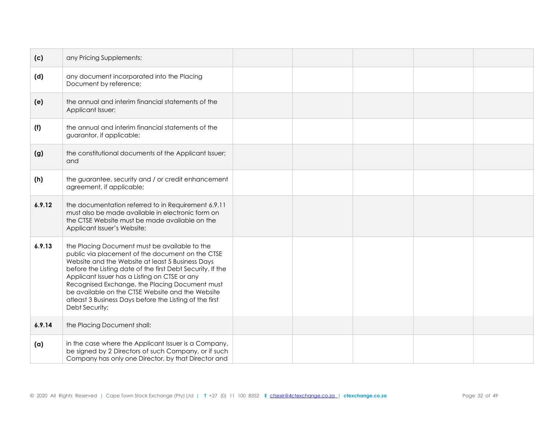| (c)    | any Pricing Supplements;                                                                                                                                                                                                                                                                                                                                                                                                                                |  |  |  |
|--------|---------------------------------------------------------------------------------------------------------------------------------------------------------------------------------------------------------------------------------------------------------------------------------------------------------------------------------------------------------------------------------------------------------------------------------------------------------|--|--|--|
| (d)    | any document incorporated into the Placing<br>Document by reference;                                                                                                                                                                                                                                                                                                                                                                                    |  |  |  |
| (e)    | the annual and interim financial statements of the<br>Applicant Issuer;                                                                                                                                                                                                                                                                                                                                                                                 |  |  |  |
| (f)    | the annual and interim financial statements of the<br>guarantor, if applicable;                                                                                                                                                                                                                                                                                                                                                                         |  |  |  |
| (g)    | the constitutional documents of the Applicant Issuer;<br>and                                                                                                                                                                                                                                                                                                                                                                                            |  |  |  |
| (h)    | the guarantee, security and / or credit enhancement<br>agreement, if applicable;                                                                                                                                                                                                                                                                                                                                                                        |  |  |  |
| 6.9.12 | the documentation referred to in Requirement 6.9.11<br>must also be made available in electronic form on<br>the CTSE Website must be made available on the<br>Applicant Issuer's Website;                                                                                                                                                                                                                                                               |  |  |  |
| 6.9.13 | the Placing Document must be available to the<br>public via placement of the document on the CTSE<br>Website and the Website at least 5 Business Days<br>before the Listing date of the first Debt Security. If the<br>Applicant Issuer has a Listing on CTSE or any<br>Recognised Exchange, the Placing Document must<br>be available on the CTSE Website and the Website<br>atleast 3 Business Days before the Listing of the first<br>Debt Security; |  |  |  |
| 6.9.14 | the Placing Document shall:                                                                                                                                                                                                                                                                                                                                                                                                                             |  |  |  |
| (a)    | in the case where the Applicant Issuer is a Company,<br>be signed by 2 Directors of such Company, or if such<br>Company has only one Director, by that Director and                                                                                                                                                                                                                                                                                     |  |  |  |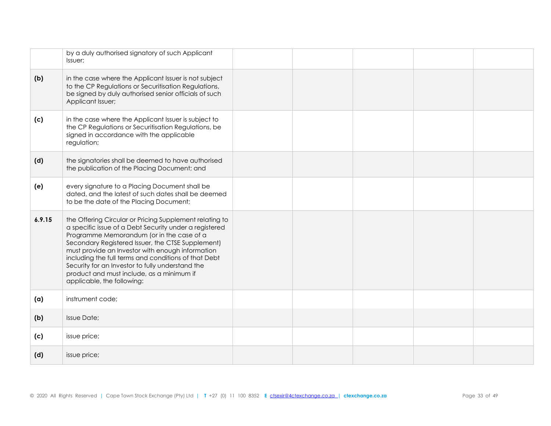|        | by a duly authorised signatory of such Applicant<br>Issuer:                                                                                                                                                                                                                                                                                                                                                                                                    |  |  |  |
|--------|----------------------------------------------------------------------------------------------------------------------------------------------------------------------------------------------------------------------------------------------------------------------------------------------------------------------------------------------------------------------------------------------------------------------------------------------------------------|--|--|--|
| (b)    | in the case where the Applicant Issuer is not subject<br>to the CP Regulations or Securitisation Regulations,<br>be signed by duly authorised senior officials of such<br>Applicant Issuer;                                                                                                                                                                                                                                                                    |  |  |  |
| (c)    | in the case where the Applicant Issuer is subject to<br>the CP Regulations or Securitisation Regulations, be<br>signed in accordance with the applicable<br>regulation;                                                                                                                                                                                                                                                                                        |  |  |  |
| (d)    | the signatories shall be deemed to have authorised<br>the publication of the Placing Document; and                                                                                                                                                                                                                                                                                                                                                             |  |  |  |
| (e)    | every signature to a Placing Document shall be<br>dated, and the latest of such dates shall be deemed<br>to be the date of the Placing Document;                                                                                                                                                                                                                                                                                                               |  |  |  |
| 6.9.15 | the Offering Circular or Pricing Supplement relating to<br>a specific issue of a Debt Security under a registered<br>Programme Memorandum (or in the case of a<br>Secondary Registered Issuer, the CTSE Supplement)<br>must provide an Investor with enough information<br>including the full terms and conditions of that Debt<br>Security for an Investor to fully understand the<br>product and must include, as a minimum if<br>applicable, the following: |  |  |  |
| (a)    | instrument code;                                                                                                                                                                                                                                                                                                                                                                                                                                               |  |  |  |
| (b)    | <b>Issue Date;</b>                                                                                                                                                                                                                                                                                                                                                                                                                                             |  |  |  |
| (c)    | issue price;                                                                                                                                                                                                                                                                                                                                                                                                                                                   |  |  |  |
| (d)    | issue price;                                                                                                                                                                                                                                                                                                                                                                                                                                                   |  |  |  |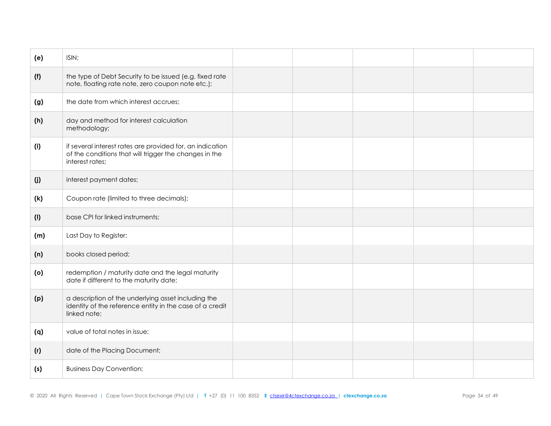| (e) | ISIN;                                                                                                                                  |  |  |  |
|-----|----------------------------------------------------------------------------------------------------------------------------------------|--|--|--|
| (f) | the type of Debt Security to be issued (e.g. fixed rate<br>note, floating rate note, zero coupon note etc.);                           |  |  |  |
| (g) | the date from which interest accrues;                                                                                                  |  |  |  |
| (h) | day and method for interest calculation<br>methodology;                                                                                |  |  |  |
| (i) | if several interest rates are provided for, an indication<br>of the conditions that will trigger the changes in the<br>interest rates; |  |  |  |
| (j) | interest payment dates;                                                                                                                |  |  |  |
| (k) | Coupon rate (limited to three decimals);                                                                                               |  |  |  |
| (1) | base CPI for linked instruments;                                                                                                       |  |  |  |
| (m) | Last Day to Register;                                                                                                                  |  |  |  |
| (n) | books closed period;                                                                                                                   |  |  |  |
| (o) | redemption / maturity date and the legal maturity<br>date if different to the maturity date;                                           |  |  |  |
| (p) | a description of the underlying asset including the<br>identity of the reference entity in the case of a credit<br>linked note;        |  |  |  |
| (q) | value of total notes in issue;                                                                                                         |  |  |  |
| (r) | date of the Placing Document;                                                                                                          |  |  |  |
| (s) | <b>Business Day Convention;</b>                                                                                                        |  |  |  |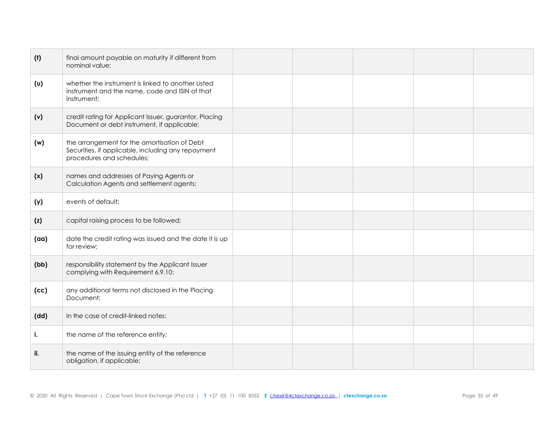| (t)  | final amount payable on maturity if different from<br>nominal value;                                                            |  |  |  |
|------|---------------------------------------------------------------------------------------------------------------------------------|--|--|--|
| (v)  | whether the instrument is linked to another Listed<br>instrument and the name, code and ISIN of that<br>instrument;             |  |  |  |
| (v)  | credit rating for Applicant Issuer, guarantor, Placing<br>Document or debt instrument, if applicable;                           |  |  |  |
| (w)  | the arrangement for the amortisation of Debt<br>Securities, if applicable, including any repayment<br>procedures and schedules; |  |  |  |
| (x)  | names and addresses of Paying Agents or<br>Calculation Agents and settlement agents;                                            |  |  |  |
| (y)  | events of default;                                                                                                              |  |  |  |
| (z)  | capital raising process to be followed;                                                                                         |  |  |  |
| (aa) | date the credit rating was issued and the date it is up<br>for review;                                                          |  |  |  |
| (bb) | responsibility statement by the Applicant Issuer<br>complying with Requirement 6.9.10;                                          |  |  |  |
| (cc) | any additional terms not disclosed in the Placing<br>Document;                                                                  |  |  |  |
| (dd) | In the case of credit-linked notes:                                                                                             |  |  |  |
| i.   | the name of the reference entity;                                                                                               |  |  |  |
| ii.  | the name of the issuing entity of the reference<br>obligation, if applicable;                                                   |  |  |  |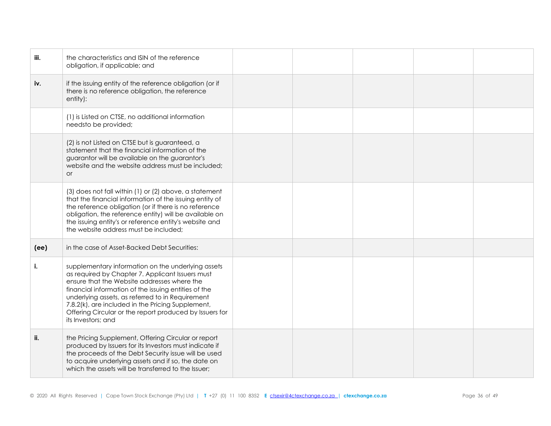| iii. | the characteristics and ISIN of the reference<br>obligation, if applicable; and                                                                                                                                                                                                                                                                                                                         |  |  |  |
|------|---------------------------------------------------------------------------------------------------------------------------------------------------------------------------------------------------------------------------------------------------------------------------------------------------------------------------------------------------------------------------------------------------------|--|--|--|
| iv.  | if the issuing entity of the reference obligation (or if<br>there is no reference obligation, the reference<br>entity):                                                                                                                                                                                                                                                                                 |  |  |  |
|      | (1) is Listed on CTSE, no additional information<br>needsto be provided;                                                                                                                                                                                                                                                                                                                                |  |  |  |
|      | (2) is not Listed on CTSE but is guaranteed, a<br>statement that the financial information of the<br>guarantor will be available on the guarantor's<br>website and the website address must be included;<br><b>or</b>                                                                                                                                                                                   |  |  |  |
|      | (3) does not fall within (1) or (2) above, a statement<br>that the financial information of the issuing entity of<br>the reference obligation (or if there is no reference<br>obligation, the reference entity) will be available on<br>the issuing entity's or reference entity's website and<br>the website address must be included;                                                                 |  |  |  |
| (ee) | in the case of Asset-Backed Debt Securities:                                                                                                                                                                                                                                                                                                                                                            |  |  |  |
| i.   | supplementary information on the underlying assets<br>as required by Chapter 7. Applicant Issuers must<br>ensure that the Website addresses where the<br>financial information of the issuing entities of the<br>underlying assets, as referred to in Requirement<br>7.8.2(k), are included in the Pricing Supplement,<br>Offering Circular or the report produced by Issuers for<br>its Investors; and |  |  |  |
| ii.  | the Pricing Supplement, Offering Circular or report<br>produced by Issuers for its Investors must indicate if<br>the proceeds of the Debt Security issue will be used<br>to acquire underlying assets and if so, the date on<br>which the assets will be transferred to the Issuer;                                                                                                                     |  |  |  |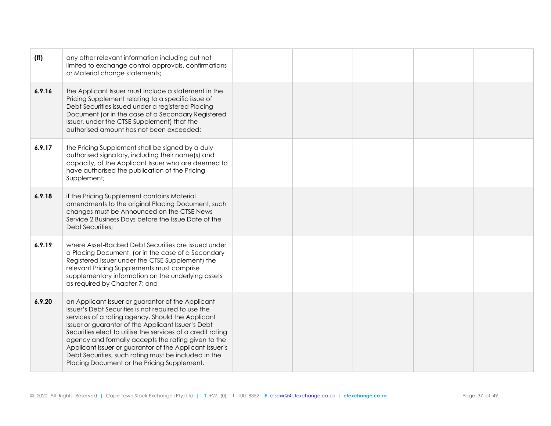| (ff)   | any other relevant information including but not<br>limited to exchange control approvals, confirmations<br>or Material change statements;                                                                                                                                                                                                                                                                                                                                                                  |  |  |  |
|--------|-------------------------------------------------------------------------------------------------------------------------------------------------------------------------------------------------------------------------------------------------------------------------------------------------------------------------------------------------------------------------------------------------------------------------------------------------------------------------------------------------------------|--|--|--|
| 6.9.16 | the Applicant Issuer must include a statement in the<br>Pricing Supplement relating to a specific issue of<br>Debt Securities issued under a registered Placing<br>Document (or in the case of a Secondary Registered<br>Issuer, under the CTSE Supplement) that the<br>authorised amount has not been exceeded;                                                                                                                                                                                            |  |  |  |
| 6.9.17 | the Pricing Supplement shall be signed by a duly<br>authorised signatory, including their name(s) and<br>capacity, of the Applicant Issuer who are deemed to<br>have authorised the publication of the Pricing<br>Supplement;                                                                                                                                                                                                                                                                               |  |  |  |
| 6.9.18 | if the Pricing Supplement contains Material<br>amendments to the original Placing Document, such<br>changes must be Announced on the CTSE News<br>Service 2 Business Days before the Issue Date of the<br>Debt Securities;                                                                                                                                                                                                                                                                                  |  |  |  |
| 6.9.19 | where Asset-Backed Debt Securities are issued under<br>a Placing Document, (or in the case of a Secondary<br>Registered Issuer under the CTSE Supplement) the<br>relevant Pricing Supplements must comprise<br>supplementary information on the underlying assets<br>as required by Chapter 7; and                                                                                                                                                                                                          |  |  |  |
| 6.9.20 | an Applicant Issuer or guarantor of the Applicant<br>Issuer's Debt Securities is not required to use the<br>services of a rating agency. Should the Applicant<br>Issuer or guarantor of the Applicant Issuer's Debt<br>Securities elect to utilise the services of a credit rating<br>agency and formally accepts the rating given to the<br>Applicant Issuer or guarantor of the Applicant Issuer's<br>Debt Securities, such rating must be included in the<br>Placing Document or the Pricing Supplement. |  |  |  |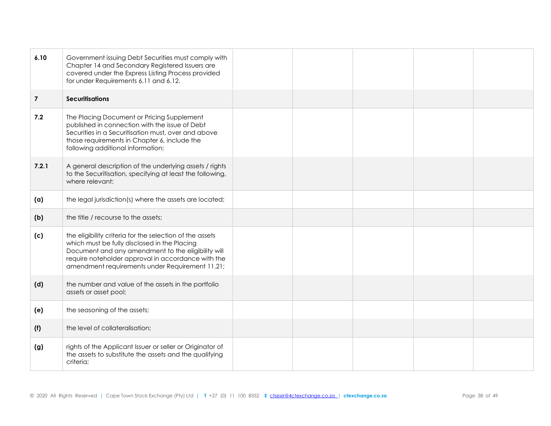| 6.10           | Government issuing Debt Securities must comply with<br>Chapter 14 and Secondary Registered Issuers are<br>covered under the Express Listing Process provided<br>for under Requirements 6.11 and 6.12.                                                                   |  |  |  |
|----------------|-------------------------------------------------------------------------------------------------------------------------------------------------------------------------------------------------------------------------------------------------------------------------|--|--|--|
| $\overline{7}$ | <b>Securitisations</b>                                                                                                                                                                                                                                                  |  |  |  |
| 7.2            | The Placing Document or Pricing Supplement<br>published in connection with the issue of Debt<br>Securities in a Securitisation must, over and above<br>those requirements in Chapter 6, include the<br>following additional information:                                |  |  |  |
| 7.2.1          | A general description of the underlying assets / rights<br>to the Securitisation, specifying at least the following,<br>where relevant:                                                                                                                                 |  |  |  |
| (a)            | the legal jurisdiction(s) where the assets are located;                                                                                                                                                                                                                 |  |  |  |
| (b)            | the title / recourse to the assets;                                                                                                                                                                                                                                     |  |  |  |
| (c)            | the eligibility criteria for the selection of the assets<br>which must be fully disclosed in the Placing<br>Document and any amendment to the eligibility will<br>require noteholder approval in accordance with the<br>amendment requirements under Requirement 11.21; |  |  |  |
| (d)            | the number and value of the assets in the portfolio<br>assets or asset pool;                                                                                                                                                                                            |  |  |  |
| (e)            | the seasoning of the assets;                                                                                                                                                                                                                                            |  |  |  |
| (f)            | the level of collateralisation;                                                                                                                                                                                                                                         |  |  |  |
| (g)            | rights of the Applicant Issuer or seller or Originator of<br>the assets to substitute the assets and the qualifying<br>criteria;                                                                                                                                        |  |  |  |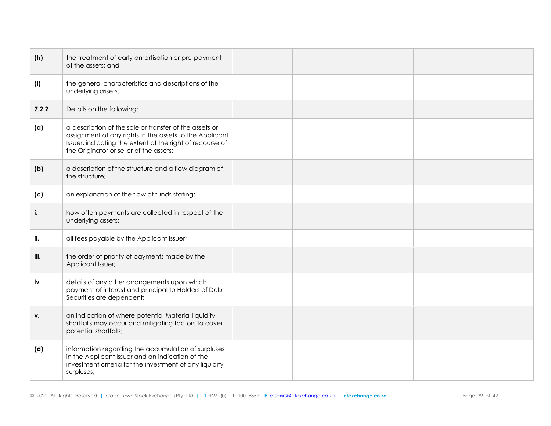| (h)   | the treatment of early amortisation or pre-payment<br>of the assets; and                                                                                                                                                  |  |  |  |
|-------|---------------------------------------------------------------------------------------------------------------------------------------------------------------------------------------------------------------------------|--|--|--|
| (i)   | the general characteristics and descriptions of the<br>underlying assets.                                                                                                                                                 |  |  |  |
| 7.2.2 | Details on the following:                                                                                                                                                                                                 |  |  |  |
| (a)   | a description of the sale or transfer of the assets or<br>assignment of any rights in the assets to the Applicant<br>Issuer, indicating the extent of the right of recourse of<br>the Originator or seller of the assets; |  |  |  |
| (b)   | a description of the structure and a flow diagram of<br>the structure;                                                                                                                                                    |  |  |  |
| (c)   | an explanation of the flow of funds stating:                                                                                                                                                                              |  |  |  |
| i.    | how often payments are collected in respect of the<br>underlying assets;                                                                                                                                                  |  |  |  |
| ii.   | all fees payable by the Applicant Issuer;                                                                                                                                                                                 |  |  |  |
| iii.  | the order of priority of payments made by the<br>Applicant Issuer;                                                                                                                                                        |  |  |  |
| iv.   | details of any other arrangements upon which<br>payment of interest and principal to Holders of Debt<br>Securities are dependent;                                                                                         |  |  |  |
| v.    | an indication of where potential Material liquidity<br>shortfalls may occur and mitigating factors to cover<br>potential shortfalls;                                                                                      |  |  |  |
| (d)   | information regarding the accumulation of surpluses<br>in the Applicant Issuer and an indication of the<br>investment criteria for the investment of any liquidity<br>surpluses;                                          |  |  |  |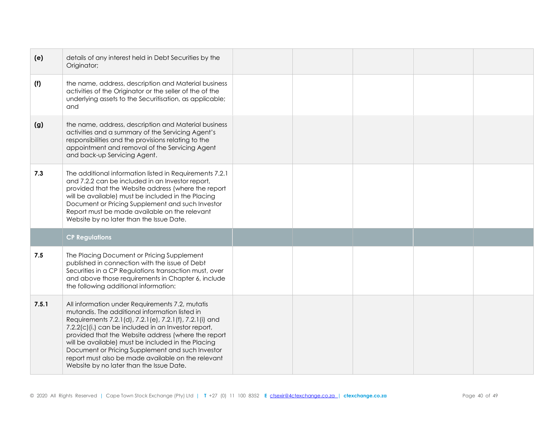| (e)   | details of any interest held in Debt Securities by the<br>Originator;                                                                                                                                                                                                                                                                                                                                                                                                                  |  |  |  |
|-------|----------------------------------------------------------------------------------------------------------------------------------------------------------------------------------------------------------------------------------------------------------------------------------------------------------------------------------------------------------------------------------------------------------------------------------------------------------------------------------------|--|--|--|
| (f)   | the name, address, description and Material business<br>activities of the Originator or the seller of the of the<br>underlying assets to the Securitisation, as applicable;<br>and                                                                                                                                                                                                                                                                                                     |  |  |  |
| (g)   | the name, address, description and Material business<br>activities and a summary of the Servicing Agent's<br>responsibilities and the provisions relating to the<br>appointment and removal of the Servicing Agent<br>and back-up Servicing Agent.                                                                                                                                                                                                                                     |  |  |  |
| 7.3   | The additional information listed in Requirements 7.2.1<br>and 7.2.2 can be included in an Investor report,<br>provided that the Website address (where the report<br>will be available) must be included in the Placing<br>Document or Pricing Supplement and such Investor<br>Report must be made available on the relevant<br>Website by no later than the Issue Date.                                                                                                              |  |  |  |
|       | <b>CP Regulations</b>                                                                                                                                                                                                                                                                                                                                                                                                                                                                  |  |  |  |
| 7.5   | The Placing Document or Pricing Supplement<br>published in connection with the issue of Debt<br>Securities in a CP Regulations transaction must, over<br>and above those requirements in Chapter 6, include<br>the following additional information:                                                                                                                                                                                                                                   |  |  |  |
| 7.5.1 | All information under Requirements 7.2, mutatis<br>mutandis. The additional information listed in<br>Requirements 7.2.1(d), 7.2.1(e), 7.2.1(f), 7.2.1(i) and<br>7.2.2(c)(i.) can be included in an Investor report,<br>provided that the Website address (where the report<br>will be available) must be included in the Placing<br>Document or Pricing Supplement and such Investor<br>report must also be made available on the relevant<br>Website by no later than the Issue Date. |  |  |  |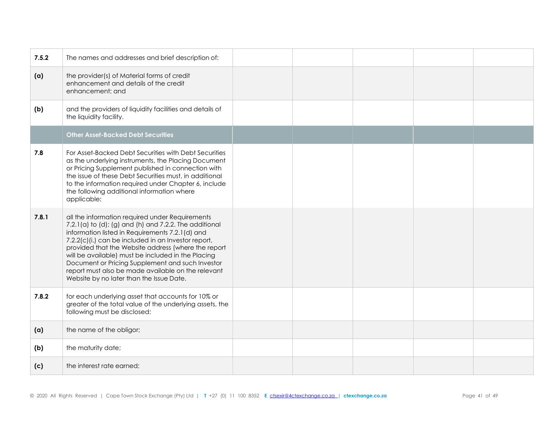| 7.5.2 | The names and addresses and brief description of:                                                                                                                                                                                                                                                                                                                                                                                                                                                  |  |  |  |
|-------|----------------------------------------------------------------------------------------------------------------------------------------------------------------------------------------------------------------------------------------------------------------------------------------------------------------------------------------------------------------------------------------------------------------------------------------------------------------------------------------------------|--|--|--|
| (a)   | the provider(s) of Material forms of credit<br>enhancement and details of the credit<br>enhancement; and                                                                                                                                                                                                                                                                                                                                                                                           |  |  |  |
| (b)   | and the providers of liquidity facilities and details of<br>the liquidity facility.                                                                                                                                                                                                                                                                                                                                                                                                                |  |  |  |
|       | <b>Other Asset-Backed Debt Securities</b>                                                                                                                                                                                                                                                                                                                                                                                                                                                          |  |  |  |
| 7.8   | For Asset-Backed Debt Securities with Debt Securities<br>as the underlying instruments, the Placing Document<br>or Pricing Supplement published in connection with<br>the issue of these Debt Securities must, in additional<br>to the information required under Chapter 6, include<br>the following additional information where<br>applicable:                                                                                                                                                  |  |  |  |
| 7.8.1 | all the information required under Requirements<br>$7.2.1(a)$ to $(d)$ ; $(g)$ and $(h)$ and $7.2.2$ . The additional<br>information listed in Requirements 7.2.1(d) and<br>7.2.2(c)(i.) can be included in an Investor report,<br>provided that the Website address (where the report<br>will be available) must be included in the Placing<br>Document or Pricing Supplement and such Investor<br>report must also be made available on the relevant<br>Website by no later than the Issue Date. |  |  |  |
| 7.8.2 | for each underlying asset that accounts for 10% or<br>greater of the total value of the underlying assets, the<br>following must be disclosed:                                                                                                                                                                                                                                                                                                                                                     |  |  |  |
| (a)   | the name of the obligor;                                                                                                                                                                                                                                                                                                                                                                                                                                                                           |  |  |  |
| (b)   | the maturity date;                                                                                                                                                                                                                                                                                                                                                                                                                                                                                 |  |  |  |
| (c)   | the interest rate earned;                                                                                                                                                                                                                                                                                                                                                                                                                                                                          |  |  |  |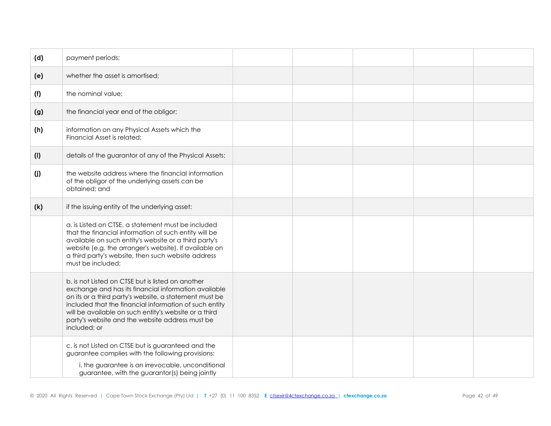| (d) | payment periods;                                                                                                                                                                                                                                                                                                                                          |  |  |  |
|-----|-----------------------------------------------------------------------------------------------------------------------------------------------------------------------------------------------------------------------------------------------------------------------------------------------------------------------------------------------------------|--|--|--|
| (e) | whether the asset is amortised;                                                                                                                                                                                                                                                                                                                           |  |  |  |
| (f) | the nominal value;                                                                                                                                                                                                                                                                                                                                        |  |  |  |
| (g) | the financial year end of the obligor;                                                                                                                                                                                                                                                                                                                    |  |  |  |
| (h) | information on any Physical Assets which the<br>Financial Asset is related;                                                                                                                                                                                                                                                                               |  |  |  |
| (i) | details of the guarantor of any of the Physical Assets;                                                                                                                                                                                                                                                                                                   |  |  |  |
| (j) | the website address where the financial information<br>of the obligor of the underlying assets can be<br>obtained; and                                                                                                                                                                                                                                    |  |  |  |
| (k) | if the issuing entity of the underlying asset:                                                                                                                                                                                                                                                                                                            |  |  |  |
|     | a. is Listed on CTSE, a statement must be included<br>that the financial information of such entity will be<br>available on such entity's website or a third party's<br>website (e.g. the arranger's website). If available on<br>a third party's website, then such website address<br>must be included;                                                 |  |  |  |
|     | b. is not Listed on CTSE but is listed on another<br>exchange and has its financial information available<br>on its or a third party's website, a statement must be<br>included that the financial information of such entity<br>will be available on such entity's website or a third<br>party's website and the website address must be<br>included; or |  |  |  |
|     | c. is not Listed on CTSE but is guaranteed and the<br>guarantee complies with the following provisions:<br>i. the guarantee is an irrevocable, unconditional<br>guarantee, with the guarantor(s) being jointly                                                                                                                                            |  |  |  |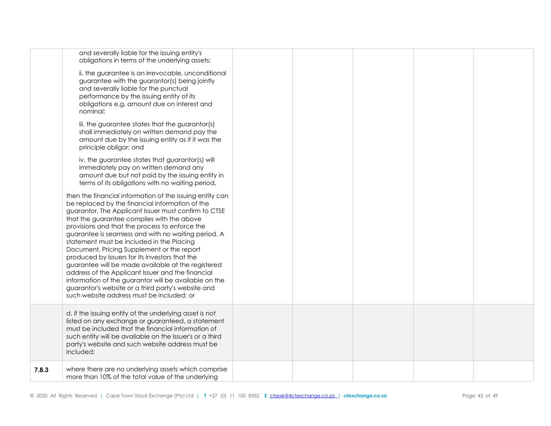|       | and severally liable for the issuing entity's<br>obligations in terms of the underlying assets;<br>ii. the guarantee is an irrevocable, unconditional<br>guarantee with the guarantor(s) being jointly<br>and severally liable for the punctual<br>performance by the issuing entity of its<br>obligations e.g. amount due on interest and<br>nominal;<br>iii. the guarantee states that the guarantor(s)<br>shall immediately on written demand pay the<br>amount due by the issuing entity as if it was the<br>principle obligor; and<br>iv. the guarantee states that guarantor(s) will<br>immediately pay on written demand any<br>amount due but not paid by the issuing entity in<br>terms of its obligations with no waiting period,<br>then the financial information of the issuing entity can<br>be replaced by the financial information of the<br>guarantor. The Applicant Issuer must confirm to CTSE<br>that the guarantee complies with the above<br>provisions and that the process to enforce the<br>guarantee is seamless and with no waiting period. A<br>statement must be included in the Placing<br>Document, Pricing Supplement or the report<br>produced by Issuers for its Investors that the<br>guarantee will be made available at the registered<br>address of the Applicant Issuer and the financial<br>information of the guarantor will be available on the<br>guarantor's website or a third party's website and<br>such website address must be included; or |  |  |  |
|-------|-----------------------------------------------------------------------------------------------------------------------------------------------------------------------------------------------------------------------------------------------------------------------------------------------------------------------------------------------------------------------------------------------------------------------------------------------------------------------------------------------------------------------------------------------------------------------------------------------------------------------------------------------------------------------------------------------------------------------------------------------------------------------------------------------------------------------------------------------------------------------------------------------------------------------------------------------------------------------------------------------------------------------------------------------------------------------------------------------------------------------------------------------------------------------------------------------------------------------------------------------------------------------------------------------------------------------------------------------------------------------------------------------------------------------------------------------------------------------------------------------|--|--|--|
|       | d. if the issuing entity of the underlying asset is not<br>listed on any exchange or guaranteed, a statement<br>must be included that the financial information of<br>such entity will be available on the Issuer's or a third<br>party's website and such website address must be<br>included;                                                                                                                                                                                                                                                                                                                                                                                                                                                                                                                                                                                                                                                                                                                                                                                                                                                                                                                                                                                                                                                                                                                                                                                               |  |  |  |
| 7.8.3 | where there are no underlying assets which comprise<br>more than 10% of the total value of the underlying                                                                                                                                                                                                                                                                                                                                                                                                                                                                                                                                                                                                                                                                                                                                                                                                                                                                                                                                                                                                                                                                                                                                                                                                                                                                                                                                                                                     |  |  |  |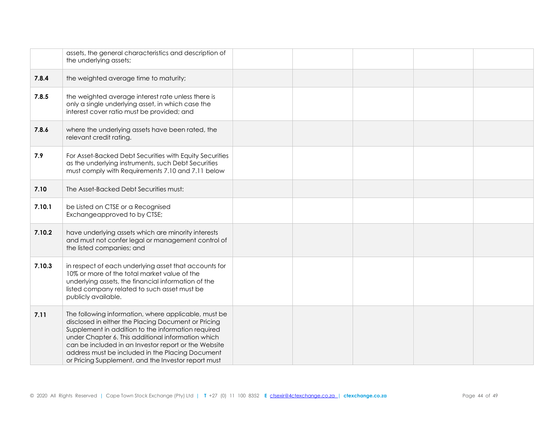|        | assets, the general characteristics and description of<br>the underlying assets;                                                                                                                                                                                                                                                                                                           |  |  |  |
|--------|--------------------------------------------------------------------------------------------------------------------------------------------------------------------------------------------------------------------------------------------------------------------------------------------------------------------------------------------------------------------------------------------|--|--|--|
| 7.8.4  | the weighted average time to maturity;                                                                                                                                                                                                                                                                                                                                                     |  |  |  |
| 7.8.5  | the weighted average interest rate unless there is<br>only a single underlying asset, in which case the<br>interest cover ratio must be provided; and                                                                                                                                                                                                                                      |  |  |  |
| 7.8.6  | where the underlying assets have been rated, the<br>relevant credit rating.                                                                                                                                                                                                                                                                                                                |  |  |  |
| 7.9    | For Asset-Backed Debt Securities with Equity Securities<br>as the underlying instruments, such Debt Securities<br>must comply with Requirements 7.10 and 7.11 below                                                                                                                                                                                                                        |  |  |  |
| 7.10   | The Asset-Backed Debt Securities must:                                                                                                                                                                                                                                                                                                                                                     |  |  |  |
| 7.10.1 | be Listed on CTSE or a Recognised<br>Exchangeapproved to by CTSE;                                                                                                                                                                                                                                                                                                                          |  |  |  |
| 7.10.2 | have underlying assets which are minority interests<br>and must not confer legal or management control of<br>the listed companies; and                                                                                                                                                                                                                                                     |  |  |  |
| 7.10.3 | in respect of each underlying asset that accounts for<br>10% or more of the total market value of the<br>underlying assets, the financial information of the<br>listed company related to such asset must be<br>publicly available.                                                                                                                                                        |  |  |  |
| 7.11   | The following information, where applicable, must be<br>disclosed in either the Placing Document or Pricing<br>Supplement in addition to the information required<br>under Chapter 6. This additional information which<br>can be included in an Investor report or the Website<br>address must be included in the Placing Document<br>or Pricing Supplement, and the Investor report must |  |  |  |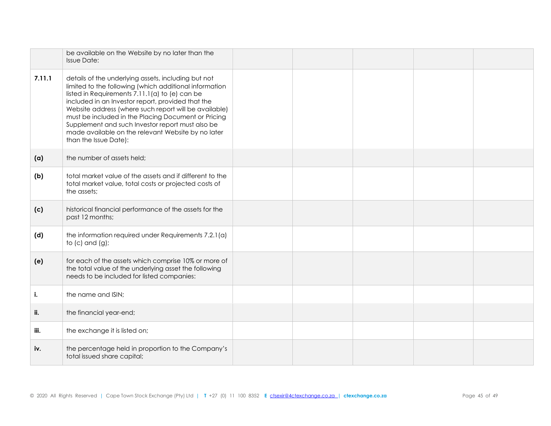|        | be available on the Website by no later than the<br><b>Issue Date:</b>                                                                                                                                                                                                                                                                                                                                                                                                  |  |  |  |
|--------|-------------------------------------------------------------------------------------------------------------------------------------------------------------------------------------------------------------------------------------------------------------------------------------------------------------------------------------------------------------------------------------------------------------------------------------------------------------------------|--|--|--|
| 7.11.1 | details of the underlying assets, including but not<br>limited to the following (which additional information<br>listed in Requirements 7.11.1(a) to (e) can be<br>included in an Investor report, provided that the<br>Website address (where such report will be available)<br>must be included in the Placing Document or Pricing<br>Supplement and such Investor report must also be<br>made available on the relevant Website by no later<br>than the Issue Date): |  |  |  |
| (a)    | the number of assets held;                                                                                                                                                                                                                                                                                                                                                                                                                                              |  |  |  |
| (b)    | total market value of the assets and if different to the<br>total market value, total costs or projected costs of<br>the assets;                                                                                                                                                                                                                                                                                                                                        |  |  |  |
| (c)    | historical financial performance of the assets for the<br>past 12 months;                                                                                                                                                                                                                                                                                                                                                                                               |  |  |  |
| (d)    | the information required under Requirements 7.2.1(a)<br>to $(c)$ and $(g)$ ;                                                                                                                                                                                                                                                                                                                                                                                            |  |  |  |
| (e)    | for each of the assets which comprise 10% or more of<br>the total value of the underlying asset the following<br>needs to be included for listed companies:                                                                                                                                                                                                                                                                                                             |  |  |  |
| i.     | the name and ISIN;                                                                                                                                                                                                                                                                                                                                                                                                                                                      |  |  |  |
| ii.    | the financial year-end;                                                                                                                                                                                                                                                                                                                                                                                                                                                 |  |  |  |
| iii.   | the exchange it is listed on;                                                                                                                                                                                                                                                                                                                                                                                                                                           |  |  |  |
| iv.    | the percentage held in proportion to the Company's<br>total issued share capital;                                                                                                                                                                                                                                                                                                                                                                                       |  |  |  |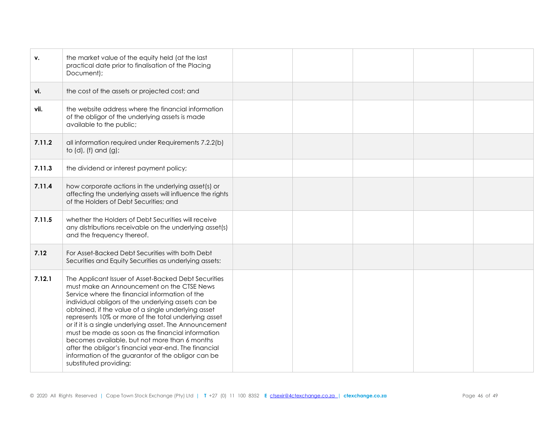| v.     | the market value of the equity held (at the last<br>practical date prior to finalisation of the Placing<br>Document);                                                                                                                                                                                                                                                                                                                                                                                                                                                                                                                |  |  |  |
|--------|--------------------------------------------------------------------------------------------------------------------------------------------------------------------------------------------------------------------------------------------------------------------------------------------------------------------------------------------------------------------------------------------------------------------------------------------------------------------------------------------------------------------------------------------------------------------------------------------------------------------------------------|--|--|--|
| vi.    | the cost of the assets or projected cost; and                                                                                                                                                                                                                                                                                                                                                                                                                                                                                                                                                                                        |  |  |  |
| vii.   | the website address where the financial information<br>of the obligor of the underlying assets is made<br>available to the public;                                                                                                                                                                                                                                                                                                                                                                                                                                                                                                   |  |  |  |
| 7.11.2 | all information required under Requirements 7.2.2(b)<br>to (d), (f) and (g);                                                                                                                                                                                                                                                                                                                                                                                                                                                                                                                                                         |  |  |  |
| 7.11.3 | the dividend or interest payment policy;                                                                                                                                                                                                                                                                                                                                                                                                                                                                                                                                                                                             |  |  |  |
| 7.11.4 | how corporate actions in the underlying asset(s) or<br>affecting the underlying assets will influence the rights<br>of the Holders of Debt Securities; and                                                                                                                                                                                                                                                                                                                                                                                                                                                                           |  |  |  |
| 7.11.5 | whether the Holders of Debt Securities will receive<br>any distributions receivable on the underlying asset(s)<br>and the frequency thereof.                                                                                                                                                                                                                                                                                                                                                                                                                                                                                         |  |  |  |
| 7.12   | For Asset-Backed Debt Securities with both Debt<br>Securities and Equity Securities as underlying assets:                                                                                                                                                                                                                                                                                                                                                                                                                                                                                                                            |  |  |  |
| 7.12.1 | The Applicant Issuer of Asset-Backed Debt Securities<br>must make an Announcement on the CTSE News<br>Service where the financial information of the<br>individual obligors of the underlying assets can be<br>obtained, if the value of a single underlying asset<br>represents 10% or more of the total underlying asset<br>or if it is a single underlying asset. The Announcement<br>must be made as soon as the financial information<br>becomes available, but not more than 6 months<br>after the obligor's financial year-end. The financial<br>information of the guarantor of the obligor can be<br>substituted providing: |  |  |  |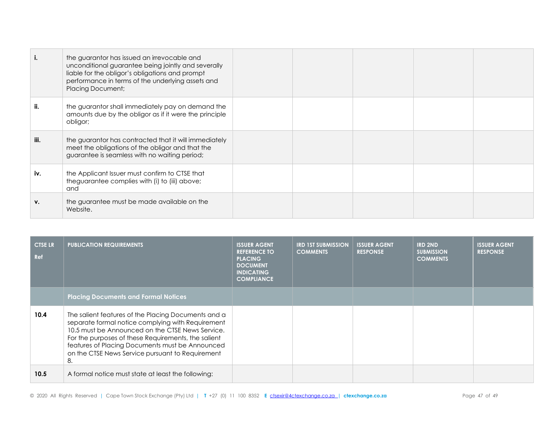|      | the guarantor has issued an irrevocable and<br>unconditional guarantee being jointly and severally<br>liable for the obligor's obligations and prompt<br>performance in terms of the underlying assets and<br><b>Placing Document;</b> |  |  |  |
|------|----------------------------------------------------------------------------------------------------------------------------------------------------------------------------------------------------------------------------------------|--|--|--|
| ii.  | the guarantor shall immediately pay on demand the<br>amounts due by the obligor as if it were the principle<br>obligor;                                                                                                                |  |  |  |
| iii. | the guarantor has contracted that it will immediately<br>meet the obligations of the obligor and that the<br>guarantee is seamless with no waiting period;                                                                             |  |  |  |
| iv.  | the Applicant Issuer must confirm to CTSE that<br>theguarantee complies with (i) to (iii) above;<br>and                                                                                                                                |  |  |  |
| ۷.   | the guarantee must be made available on the<br>Website.                                                                                                                                                                                |  |  |  |

| <b>CTSE LR</b><br>Ref | <b>PUBLICATION REQUIREMENTS</b>                                                                                                                                                                                                                                                                                                  | <b>ISSUER AGENT</b><br><b>REFERENCE TO</b><br><b>PLACING</b><br><b>DOCUMENT</b><br><b>INDICATING</b><br><b>COMPLIANCE</b> | <b>IRD 1ST SUBMISSION</b><br><b>COMMENTS</b> | <b>ISSUER AGENT</b><br><b>RESPONSE</b> | <b>IRD 2ND</b><br><b>SUBMISSION</b><br><b>COMMENTS</b> | <b>ISSUER AGENT</b><br><b>RESPONSE</b> |
|-----------------------|----------------------------------------------------------------------------------------------------------------------------------------------------------------------------------------------------------------------------------------------------------------------------------------------------------------------------------|---------------------------------------------------------------------------------------------------------------------------|----------------------------------------------|----------------------------------------|--------------------------------------------------------|----------------------------------------|
|                       | <b>Placing Documents and Formal Notices</b>                                                                                                                                                                                                                                                                                      |                                                                                                                           |                                              |                                        |                                                        |                                        |
| 10.4                  | The salient features of the Placing Documents and a<br>separate formal notice complying with Requirement<br>10.5 must be Announced on the CTSE News Service.<br>For the purposes of these Requirements, the salient<br>features of Placing Documents must be Announced<br>on the CTSE News Service pursuant to Requirement<br>8. |                                                                                                                           |                                              |                                        |                                                        |                                        |
| 10.5                  | A formal notice must state at least the following:                                                                                                                                                                                                                                                                               |                                                                                                                           |                                              |                                        |                                                        |                                        |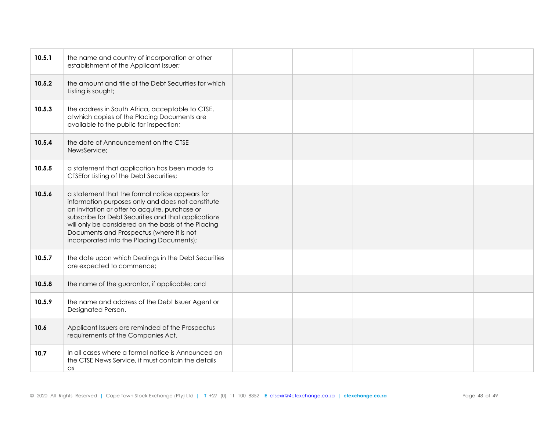| 10.5.1 | the name and country of incorporation or other<br>establishment of the Applicant Issuer;                                                                                                                                                                                                                                                                      |  |  |  |
|--------|---------------------------------------------------------------------------------------------------------------------------------------------------------------------------------------------------------------------------------------------------------------------------------------------------------------------------------------------------------------|--|--|--|
| 10.5.2 | the amount and title of the Debt Securities for which<br>Listing is sought;                                                                                                                                                                                                                                                                                   |  |  |  |
| 10.5.3 | the address in South Africa, acceptable to CTSE,<br>atwhich copies of the Placing Documents are<br>available to the public for inspection;                                                                                                                                                                                                                    |  |  |  |
| 10.5.4 | the date of Announcement on the CTSE<br>NewsService;                                                                                                                                                                                                                                                                                                          |  |  |  |
| 10.5.5 | a statement that application has been made to<br><b>CTSEfor Listing of the Debt Securities;</b>                                                                                                                                                                                                                                                               |  |  |  |
| 10.5.6 | a statement that the formal notice appears for<br>information purposes only and does not constitute<br>an invitation or offer to acquire, purchase or<br>subscribe for Debt Securities and that applications<br>will only be considered on the basis of the Placing<br>Documents and Prospectus (where it is not<br>incorporated into the Placing Documents); |  |  |  |
| 10.5.7 | the date upon which Dealings in the Debt Securities<br>are expected to commence;                                                                                                                                                                                                                                                                              |  |  |  |
| 10.5.8 | the name of the guarantor, if applicable; and                                                                                                                                                                                                                                                                                                                 |  |  |  |
| 10.5.9 | the name and address of the Debt Issuer Agent or<br>Designated Person.                                                                                                                                                                                                                                                                                        |  |  |  |
| 10.6   | Applicant Issuers are reminded of the Prospectus<br>requirements of the Companies Act.                                                                                                                                                                                                                                                                        |  |  |  |
| 10.7   | In all cases where a formal notice is Announced on<br>the CTSE News Service, it must contain the details<br>as                                                                                                                                                                                                                                                |  |  |  |